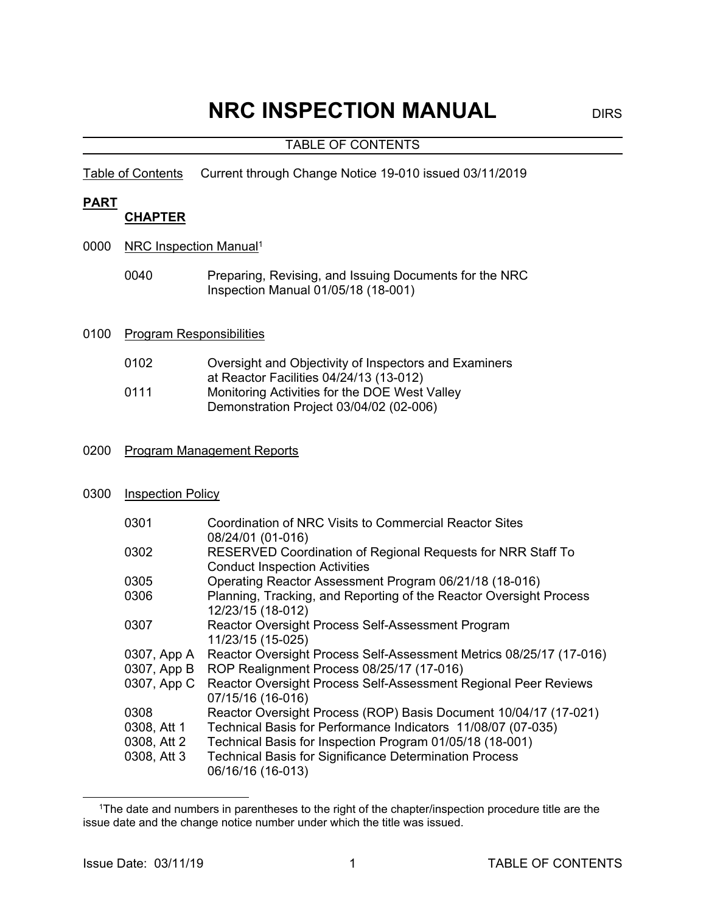# **NRC INSPECTION MANUAL** DIRS

#### TABLE OF CONTENTS

Table of Contents Current through Change Notice 19-010 issued 03/11/2019

#### **PART**

#### **CHAPTER**

- 0000 NRC Inspection Manual<sup>1</sup>
	- 0040 Preparing, Revising, and Issuing Documents for the NRC Inspection Manual 01/05/18 (18-001)

#### 0100 Program Responsibilities

| 0102 | Oversight and Objectivity of Inspectors and Examiners |
|------|-------------------------------------------------------|
|      | at Reactor Facilities 04/24/13 (13-012)               |
| 0111 | Monitoring Activities for the DOE West Valley         |
|      | Demonstration Project 03/04/02 (02-006)               |

#### 0200 Program Management Reports

#### 0300 **Inspection Policy**

| 0301                       | Coordination of NRC Visits to Commercial Reactor Sites<br>08/24/01 (01-016)                                      |
|----------------------------|------------------------------------------------------------------------------------------------------------------|
| 0302                       | RESERVED Coordination of Regional Requests for NRR Staff To<br><b>Conduct Inspection Activities</b>              |
| 0305                       | Operating Reactor Assessment Program 06/21/18 (18-016)                                                           |
| 0306                       | Planning, Tracking, and Reporting of the Reactor Oversight Process<br>12/23/15 (18-012)                          |
| 0307                       | Reactor Oversight Process Self-Assessment Program<br>11/23/15 (15-025)                                           |
| 0307, App A<br>0307, App B | Reactor Oversight Process Self-Assessment Metrics 08/25/17 (17-016)<br>ROP Realignment Process 08/25/17 (17-016) |
| 0307, App C                | Reactor Oversight Process Self-Assessment Regional Peer Reviews<br>07/15/16 (16-016)                             |
| 0308                       | Reactor Oversight Process (ROP) Basis Document 10/04/17 (17-021)                                                 |
| 0308, Att 1                | Technical Basis for Performance Indicators 11/08/07 (07-035)                                                     |
| 0308, Att 2                | Technical Basis for Inspection Program 01/05/18 (18-001)                                                         |
| 0308, Att 3                | <b>Technical Basis for Significance Determination Process</b><br>06/16/16 (16-013)                               |

l

<sup>&</sup>lt;sup>1</sup>The date and numbers in parentheses to the right of the chapter/inspection procedure title are the issue date and the change notice number under which the title was issued.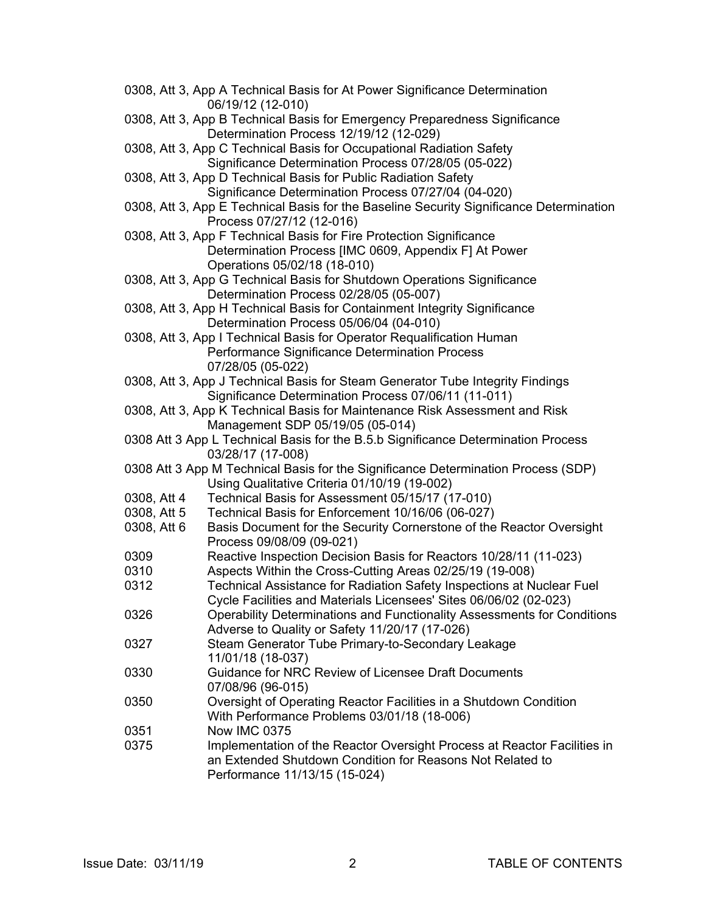|             | 0308, Att 3, App A Technical Basis for At Power Significance Determination<br>06/19/12 (12-010)                       |
|-------------|-----------------------------------------------------------------------------------------------------------------------|
|             | 0308, Att 3, App B Technical Basis for Emergency Preparedness Significance<br>Determination Process 12/19/12 (12-029) |
|             | 0308, Att 3, App C Technical Basis for Occupational Radiation Safety                                                  |
|             | Significance Determination Process 07/28/05 (05-022)                                                                  |
|             | 0308, Att 3, App D Technical Basis for Public Radiation Safety                                                        |
|             | Significance Determination Process 07/27/04 (04-020)                                                                  |
|             | 0308, Att 3, App E Technical Basis for the Baseline Security Significance Determination<br>Process 07/27/12 (12-016)  |
|             | 0308, Att 3, App F Technical Basis for Fire Protection Significance                                                   |
|             | Determination Process [IMC 0609, Appendix F] At Power                                                                 |
|             | Operations 05/02/18 (18-010)                                                                                          |
|             | 0308, Att 3, App G Technical Basis for Shutdown Operations Significance                                               |
|             | Determination Process 02/28/05 (05-007)                                                                               |
|             | 0308, Att 3, App H Technical Basis for Containment Integrity Significance                                             |
|             | Determination Process 05/06/04 (04-010)                                                                               |
|             | 0308, Att 3, App I Technical Basis for Operator Requalification Human                                                 |
|             | Performance Significance Determination Process                                                                        |
|             | 07/28/05 (05-022)                                                                                                     |
|             | 0308, Att 3, App J Technical Basis for Steam Generator Tube Integrity Findings                                        |
|             | Significance Determination Process 07/06/11 (11-011)                                                                  |
|             | 0308, Att 3, App K Technical Basis for Maintenance Risk Assessment and Risk                                           |
|             | Management SDP 05/19/05 (05-014)                                                                                      |
|             | 0308 Att 3 App L Technical Basis for the B.5.b Significance Determination Process<br>03/28/17 (17-008)                |
|             | 0308 Att 3 App M Technical Basis for the Significance Determination Process (SDP)                                     |
|             | Using Qualitative Criteria 01/10/19 (19-002)                                                                          |
| 0308, Att 4 | Technical Basis for Assessment 05/15/17 (17-010)                                                                      |
| 0308, Att 5 | Technical Basis for Enforcement 10/16/06 (06-027)                                                                     |
| 0308, Att 6 | Basis Document for the Security Cornerstone of the Reactor Oversight<br>Process 09/08/09 (09-021)                     |
| 0309        | Reactive Inspection Decision Basis for Reactors 10/28/11 (11-023)                                                     |
| 0310        | Aspects Within the Cross-Cutting Areas 02/25/19 (19-008)                                                              |
| 0312        | Technical Assistance for Radiation Safety Inspections at Nuclear Fuel                                                 |
|             | Cycle Facilities and Materials Licensees' Sites 06/06/02 (02-023)                                                     |
| 0326        | Operability Determinations and Functionality Assessments for Conditions                                               |
|             | Adverse to Quality or Safety 11/20/17 (17-026)                                                                        |
| 0327        | Steam Generator Tube Primary-to-Secondary Leakage                                                                     |
|             | 11/01/18 (18-037)                                                                                                     |
| 0330        | Guidance for NRC Review of Licensee Draft Documents                                                                   |
|             | 07/08/96 (96-015)                                                                                                     |
| 0350        | Oversight of Operating Reactor Facilities in a Shutdown Condition                                                     |
|             | With Performance Problems 03/01/18 (18-006)                                                                           |
| 0351        | <b>Now IMC 0375</b>                                                                                                   |
| 0375        | Implementation of the Reactor Oversight Process at Reactor Facilities in                                              |
|             | an Extended Shutdown Condition for Reasons Not Related to                                                             |
|             | Performance 11/13/15 (15-024)                                                                                         |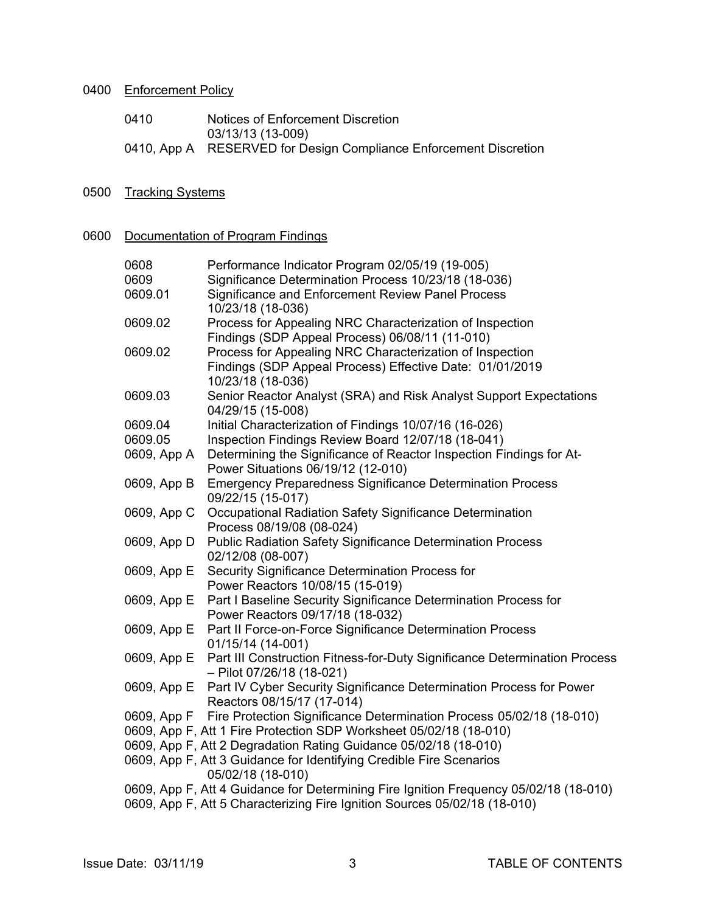## 0400 Enforcement Policy

| 0410 | Notices of Enforcement Discretion                                 |
|------|-------------------------------------------------------------------|
|      | 03/13/13 (13-009)                                                 |
|      | 0410, App A RESERVED for Design Compliance Enforcement Discretion |

## 0500 Tracking Systems

#### 0600 Documentation of Program Findings

| 0608<br>0609<br>0609.01 | Performance Indicator Program 02/05/19 (19-005)<br>Significance Determination Process 10/23/18 (18-036)<br>Significance and Enforcement Review Panel Process<br>10/23/18 (18-036) |
|-------------------------|-----------------------------------------------------------------------------------------------------------------------------------------------------------------------------------|
| 0609.02                 | Process for Appealing NRC Characterization of Inspection<br>Findings (SDP Appeal Process) 06/08/11 (11-010)                                                                       |
| 0609.02                 | Process for Appealing NRC Characterization of Inspection<br>Findings (SDP Appeal Process) Effective Date: 01/01/2019<br>10/23/18 (18-036)                                         |
| 0609.03                 | Senior Reactor Analyst (SRA) and Risk Analyst Support Expectations<br>04/29/15 (15-008)                                                                                           |
| 0609.04                 | Initial Characterization of Findings 10/07/16 (16-026)                                                                                                                            |
| 0609.05                 | Inspection Findings Review Board 12/07/18 (18-041)                                                                                                                                |
| 0609, App A             | Determining the Significance of Reactor Inspection Findings for At-<br>Power Situations 06/19/12 (12-010)                                                                         |
| 0609, App B             | <b>Emergency Preparedness Significance Determination Process</b><br>09/22/15 (15-017)                                                                                             |
| 0609, App C             | Occupational Radiation Safety Significance Determination<br>Process 08/19/08 (08-024)                                                                                             |
| 0609, App D             | <b>Public Radiation Safety Significance Determination Process</b><br>02/12/08 (08-007)                                                                                            |
| 0609, App E             | Security Significance Determination Process for<br>Power Reactors 10/08/15 (15-019)                                                                                               |
| 0609, App E             | Part I Baseline Security Significance Determination Process for<br>Power Reactors 09/17/18 (18-032)                                                                               |
| 0609, App E             | Part II Force-on-Force Significance Determination Process<br>01/15/14 (14-001)                                                                                                    |
| 0609, App E             | Part III Construction Fitness-for-Duty Significance Determination Process<br>$-$ Pilot 07/26/18 (18-021)                                                                          |
| 0609, App E             | Part IV Cyber Security Significance Determination Process for Power<br>Reactors 08/15/17 (17-014)                                                                                 |
| 0609, App F             | Fire Protection Significance Determination Process 05/02/18 (18-010)                                                                                                              |
|                         | 0609, App F, Att 1 Fire Protection SDP Worksheet 05/02/18 (18-010)                                                                                                                |
|                         | 0609, App F, Att 2 Degradation Rating Guidance 05/02/18 (18-010)                                                                                                                  |
|                         | 0609, App F, Att 3 Guidance for Identifying Credible Fire Scenarios<br>05/02/18 (18-010)                                                                                          |
|                         | 0609, App F, Att 4 Guidance for Determining Fire Ignition Frequency 05/02/18 (18-010)                                                                                             |
|                         | 0609, App F, Att 5 Characterizing Fire Ignition Sources 05/02/18 (18-010)                                                                                                         |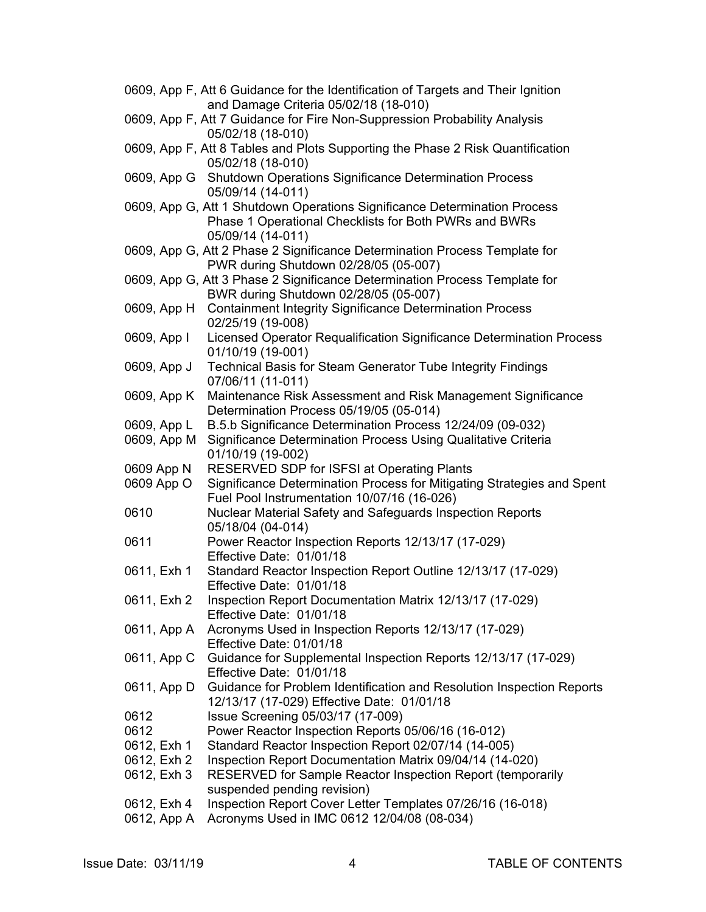|             | 0609, App F, Att 6 Guidance for the Identification of Targets and Their Ignition        |
|-------------|-----------------------------------------------------------------------------------------|
|             | and Damage Criteria 05/02/18 (18-010)                                                   |
|             | 0609, App F, Att 7 Guidance for Fire Non-Suppression Probability Analysis               |
|             | 05/02/18 (18-010)                                                                       |
|             | 0609, App F, Att 8 Tables and Plots Supporting the Phase 2 Risk Quantification          |
|             | 05/02/18 (18-010)                                                                       |
|             | 0609, App G Shutdown Operations Significance Determination Process<br>05/09/14 (14-011) |
|             | 0609, App G, Att 1 Shutdown Operations Significance Determination Process               |
|             | Phase 1 Operational Checklists for Both PWRs and BWRs                                   |
|             | 05/09/14 (14-011)                                                                       |
|             | 0609, App G, Att 2 Phase 2 Significance Determination Process Template for              |
|             | PWR during Shutdown 02/28/05 (05-007)                                                   |
|             | 0609, App G, Att 3 Phase 2 Significance Determination Process Template for              |
|             | BWR during Shutdown 02/28/05 (05-007)                                                   |
| 0609, App H | <b>Containment Integrity Significance Determination Process</b>                         |
|             | 02/25/19 (19-008)                                                                       |
| 0609, App I | Licensed Operator Requalification Significance Determination Process                    |
|             | 01/10/19 (19-001)                                                                       |
| 0609, App J | <b>Technical Basis for Steam Generator Tube Integrity Findings</b>                      |
|             | 07/06/11 (11-011)                                                                       |
| 0609, App K | Maintenance Risk Assessment and Risk Management Significance                            |
|             | Determination Process 05/19/05 (05-014)                                                 |
| 0609, App L | B.5.b Significance Determination Process 12/24/09 (09-032)                              |
| 0609, App M | Significance Determination Process Using Qualitative Criteria                           |
| 0609 App N  | 01/10/19 (19-002)<br>RESERVED SDP for ISFSI at Operating Plants                         |
| 0609 App O  | Significance Determination Process for Mitigating Strategies and Spent                  |
|             | Fuel Pool Instrumentation 10/07/16 (16-026)                                             |
| 0610        | Nuclear Material Safety and Safeguards Inspection Reports                               |
|             | 05/18/04 (04-014)                                                                       |
| 0611        | Power Reactor Inspection Reports 12/13/17 (17-029)                                      |
|             | Effective Date: 01/01/18                                                                |
| 0611, Exh 1 | Standard Reactor Inspection Report Outline 12/13/17 (17-029)                            |
|             | Effective Date: 01/01/18                                                                |
| 0611, Exh 2 | Inspection Report Documentation Matrix 12/13/17 (17-029)                                |
|             | Effective Date: 01/01/18                                                                |
|             | 0611, App A Acronyms Used in Inspection Reports 12/13/17 (17-029)                       |
|             | Effective Date: 01/01/18                                                                |
| 0611, App C | Guidance for Supplemental Inspection Reports 12/13/17 (17-029)                          |
|             | Effective Date: 01/01/18                                                                |
| 0611, App D | Guidance for Problem Identification and Resolution Inspection Reports                   |
|             | 12/13/17 (17-029) Effective Date: 01/01/18                                              |
| 0612        | Issue Screening 05/03/17 (17-009)                                                       |
| 0612        | Power Reactor Inspection Reports 05/06/16 (16-012)                                      |
| 0612, Exh 1 | Standard Reactor Inspection Report 02/07/14 (14-005)                                    |
| 0612, Exh 2 | Inspection Report Documentation Matrix 09/04/14 (14-020)                                |
| 0612, Exh 3 | RESERVED for Sample Reactor Inspection Report (temporarily                              |
|             | suspended pending revision)                                                             |
| 0612, Exh 4 | Inspection Report Cover Letter Templates 07/26/16 (16-018)                              |
| 0612, App A | Acronyms Used in IMC 0612 12/04/08 (08-034)                                             |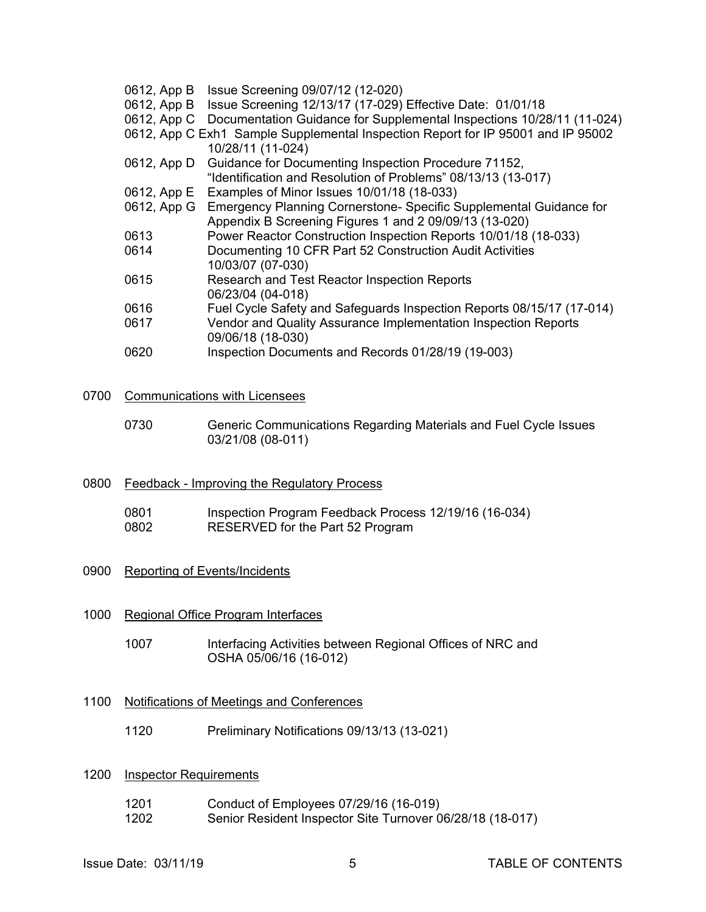- 0612, App B Issue Screening 09/07/12 (12-020)
- 0612, App B Issue Screening 12/13/17 (17-029) Effective Date: 01/01/18
- 0612, App C Documentation Guidance for Supplemental Inspections 10/28/11 (11-024)
- 0612, App C Exh1 Sample Supplemental Inspection Report for IP 95001 and IP 95002
- 10/28/11 (11-024) 0612, App D Guidance for Documenting Inspection Procedure 71152, "Identification and Resolution of Problems" 08/13/13 (13-017)
- 0612, App E Examples of Minor Issues 10/01/18 (18-033)
- 0612, App G Emergency Planning Cornerstone- Specific Supplemental Guidance for Appendix B Screening Figures 1 and 2 09/09/13 (13-020)
- 0613 Power Reactor Construction Inspection Reports 10/01/18 (18-033)
- 0614 Documenting 10 CFR Part 52 Construction Audit Activities 10/03/07 (07-030)
- 0615 Research and Test Reactor Inspection Reports 06/23/04 (04-018)
- 0616 Fuel Cycle Safety and Safeguards Inspection Reports 08/15/17 (17-014)
- 0617 Vendor and Quality Assurance Implementation Inspection Reports 09/06/18 (18-030)
- 0620 Inspection Documents and Records 01/28/19 (19-003)
- 0700 Communications with Licensees
	- 0730 Generic Communications Regarding Materials and Fuel Cycle Issues 03/21/08 (08-011)
- 0800 Feedback Improving the Regulatory Process
	- 0801 Inspection Program Feedback Process 12/19/16 (16-034) 0802 RESERVED for the Part 52 Program
- 0900 Reporting of Events/Incidents
- 1000 Regional Office Program Interfaces
	- 1007 Interfacing Activities between Regional Offices of NRC and OSHA 05/06/16 (16-012)

#### 1100 Notifications of Meetings and Conferences

1120 Preliminary Notifications 09/13/13 (13-021)

#### 1200 Inspector Requirements

- 1201 Conduct of Employees 07/29/16 (16-019)
- 1202 Senior Resident Inspector Site Turnover 06/28/18 (18-017)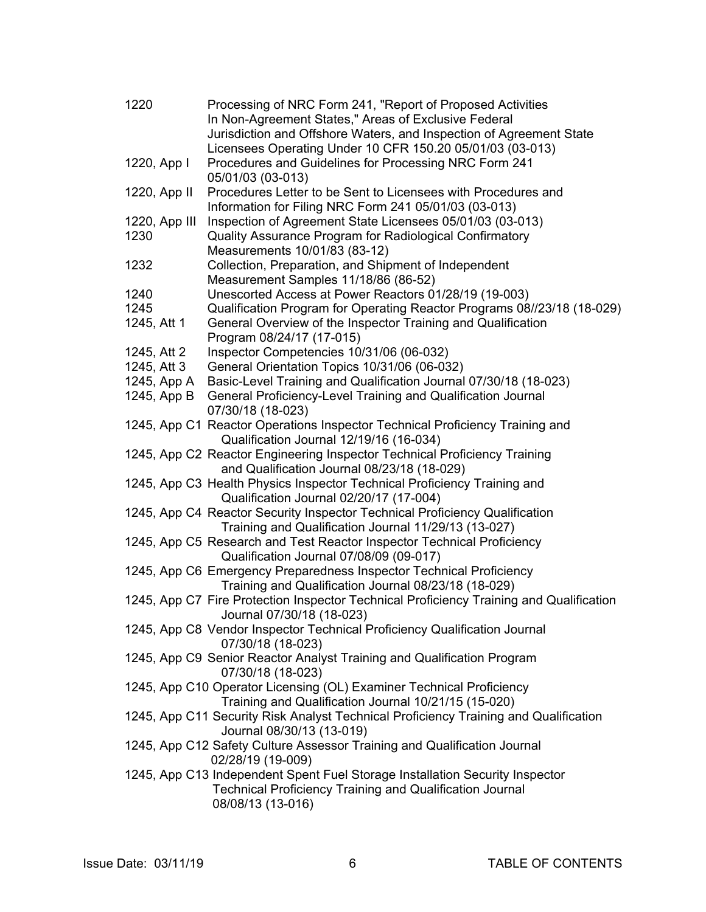| 1220          | Processing of NRC Form 241, "Report of Proposed Activities                                                           |
|---------------|----------------------------------------------------------------------------------------------------------------------|
|               | In Non-Agreement States," Areas of Exclusive Federal                                                                 |
|               | Jurisdiction and Offshore Waters, and Inspection of Agreement State                                                  |
|               | Licensees Operating Under 10 CFR 150.20 05/01/03 (03-013)                                                            |
| 1220, App I   | Procedures and Guidelines for Processing NRC Form 241                                                                |
|               | 05/01/03 (03-013)                                                                                                    |
| 1220, App II  | Procedures Letter to be Sent to Licensees with Procedures and                                                        |
|               | Information for Filing NRC Form 241 05/01/03 (03-013)                                                                |
| 1220, App III | Inspection of Agreement State Licensees 05/01/03 (03-013)                                                            |
| 1230          | Quality Assurance Program for Radiological Confirmatory                                                              |
|               | Measurements 10/01/83 (83-12)                                                                                        |
| 1232          | Collection, Preparation, and Shipment of Independent                                                                 |
|               | Measurement Samples 11/18/86 (86-52)                                                                                 |
| 1240          | Unescorted Access at Power Reactors 01/28/19 (19-003)                                                                |
| 1245          | Qualification Program for Operating Reactor Programs 08//23/18 (18-029)                                              |
| 1245, Att 1   | General Overview of the Inspector Training and Qualification                                                         |
|               | Program 08/24/17 (17-015)                                                                                            |
| 1245, Att 2   | Inspector Competencies 10/31/06 (06-032)                                                                             |
| 1245, Att 3   | General Orientation Topics 10/31/06 (06-032)                                                                         |
| 1245, App A   | Basic-Level Training and Qualification Journal 07/30/18 (18-023)                                                     |
| 1245, App B   | General Proficiency-Level Training and Qualification Journal                                                         |
|               | 07/30/18 (18-023)                                                                                                    |
|               | 1245, App C1 Reactor Operations Inspector Technical Proficiency Training and                                         |
|               | Qualification Journal 12/19/16 (16-034)                                                                              |
|               | 1245, App C2 Reactor Engineering Inspector Technical Proficiency Training                                            |
|               | and Qualification Journal 08/23/18 (18-029)                                                                          |
|               | 1245, App C3 Health Physics Inspector Technical Proficiency Training and                                             |
|               | Qualification Journal 02/20/17 (17-004)                                                                              |
|               | 1245, App C4 Reactor Security Inspector Technical Proficiency Qualification                                          |
|               | Training and Qualification Journal 11/29/13 (13-027)                                                                 |
|               | 1245, App C5 Research and Test Reactor Inspector Technical Proficiency                                               |
|               | Qualification Journal 07/08/09 (09-017)                                                                              |
|               | 1245, App C6 Emergency Preparedness Inspector Technical Proficiency                                                  |
|               | Training and Qualification Journal 08/23/18 (18-029)                                                                 |
|               | 1245, App C7 Fire Protection Inspector Technical Proficiency Training and Qualification<br>Journal 07/30/18 (18-023) |
|               | 1245, App C8 Vendor Inspector Technical Proficiency Qualification Journal                                            |
|               | 07/30/18 (18-023)                                                                                                    |
|               | 1245, App C9 Senior Reactor Analyst Training and Qualification Program<br>07/30/18 (18-023)                          |
|               | 1245, App C10 Operator Licensing (OL) Examiner Technical Proficiency                                                 |
|               | Training and Qualification Journal 10/21/15 (15-020)                                                                 |
|               | 1245, App C11 Security Risk Analyst Technical Proficiency Training and Qualification<br>Journal 08/30/13 (13-019)    |
|               | 1245, App C12 Safety Culture Assessor Training and Qualification Journal<br>02/28/19 (19-009)                        |
|               | 1245, App C13 Independent Spent Fuel Storage Installation Security Inspector                                         |
|               | <b>Technical Proficiency Training and Qualification Journal</b>                                                      |
|               | 08/08/13 (13-016)                                                                                                    |
|               |                                                                                                                      |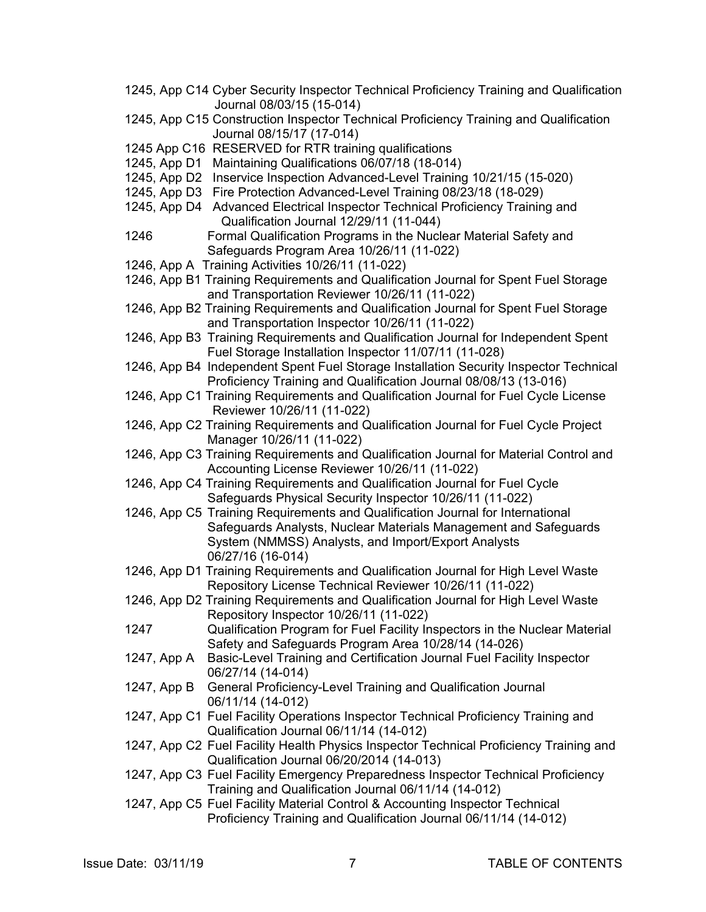- 1245, App C14 Cyber Security Inspector Technical Proficiency Training and Qualification Journal 08/03/15 (15-014)
- 1245, App C15 Construction Inspector Technical Proficiency Training and Qualification Journal 08/15/17 (17-014)
- 1245 App C16 RESERVED for RTR training qualifications
- 1245, App D1 Maintaining Qualifications 06/07/18 (18-014)
- 1245, App D2 Inservice Inspection Advanced-Level Training 10/21/15 (15-020)
- 1245, App D3 Fire Protection Advanced-Level Training 08/23/18 (18-029)
- 1245, App D4 Advanced Electrical Inspector Technical Proficiency Training and Qualification Journal 12/29/11 (11-044)
- 1246 Formal Qualification Programs in the Nuclear Material Safety and Safeguards Program Area 10/26/11 (11-022)
- 1246, App A Training Activities 10/26/11 (11-022)
- 1246, App B1 Training Requirements and Qualification Journal for Spent Fuel Storage and Transportation Reviewer 10/26/11 (11-022)
- 1246, App B2 Training Requirements and Qualification Journal for Spent Fuel Storage and Transportation Inspector 10/26/11 (11-022)
- 1246, App B3 Training Requirements and Qualification Journal for Independent Spent Fuel Storage Installation Inspector 11/07/11 (11-028)
- 1246, App B4 Independent Spent Fuel Storage Installation Security Inspector Technical Proficiency Training and Qualification Journal 08/08/13 (13-016)
- 1246, App C1 Training Requirements and Qualification Journal for Fuel Cycle License Reviewer 10/26/11 (11-022)
- 1246, App C2 Training Requirements and Qualification Journal for Fuel Cycle Project Manager 10/26/11 (11-022)
- 1246, App C3 Training Requirements and Qualification Journal for Material Control and Accounting License Reviewer 10/26/11 (11-022)
- 1246, App C4 Training Requirements and Qualification Journal for Fuel Cycle Safeguards Physical Security Inspector 10/26/11 (11-022)
- 1246, App C5 Training Requirements and Qualification Journal for International Safeguards Analysts, Nuclear Materials Management and Safeguards System (NMMSS) Analysts, and Import/Export Analysts 06/27/16 (16-014)
- 1246, App D1 Training Requirements and Qualification Journal for High Level Waste Repository License Technical Reviewer 10/26/11 (11-022)
- 1246, App D2 Training Requirements and Qualification Journal for High Level Waste Repository Inspector 10/26/11 (11-022)
- 1247 Qualification Program for Fuel Facility Inspectors in the Nuclear Material Safety and Safeguards Program Area 10/28/14 (14-026)
- 1247, App A Basic-Level Training and Certification Journal Fuel Facility Inspector 06/27/14 (14-014)
- 1247, App B General Proficiency-Level Training and Qualification Journal 06/11/14 (14-012)
- 1247, App C1 Fuel Facility Operations Inspector Technical Proficiency Training and Qualification Journal 06/11/14 (14-012)
- 1247, App C2 Fuel Facility Health Physics Inspector Technical Proficiency Training and Qualification Journal 06/20/2014 (14-013)
- 1247, App C3 Fuel Facility Emergency Preparedness Inspector Technical Proficiency Training and Qualification Journal 06/11/14 (14-012)
- 1247, App C5 Fuel Facility Material Control & Accounting Inspector Technical Proficiency Training and Qualification Journal 06/11/14 (14-012)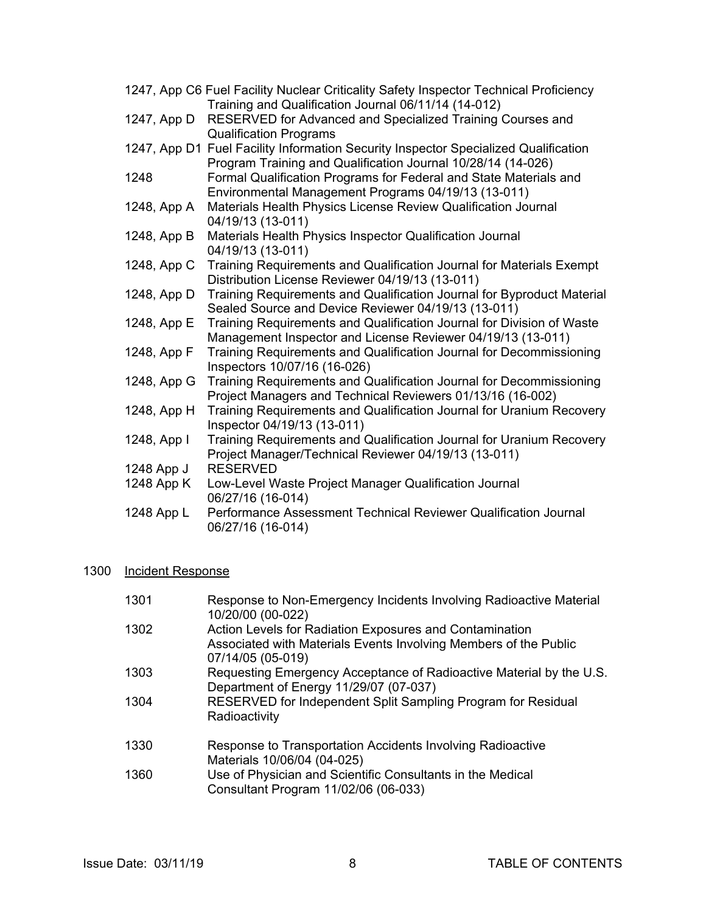|             | 1247, App C6 Fuel Facility Nuclear Criticality Safety Inspector Technical Proficiency<br>Training and Qualification Journal 06/11/14 (14-012)       |
|-------------|-----------------------------------------------------------------------------------------------------------------------------------------------------|
| 1247, App D | RESERVED for Advanced and Specialized Training Courses and<br><b>Qualification Programs</b>                                                         |
|             | 1247, App D1 Fuel Facility Information Security Inspector Specialized Qualification<br>Program Training and Qualification Journal 10/28/14 (14-026) |
| 1248        | Formal Qualification Programs for Federal and State Materials and<br>Environmental Management Programs 04/19/13 (13-011)                            |
| 1248, App A | Materials Health Physics License Review Qualification Journal<br>04/19/13 (13-011)                                                                  |
| 1248, App B | Materials Health Physics Inspector Qualification Journal<br>04/19/13 (13-011)                                                                       |
| 1248, App C | Training Requirements and Qualification Journal for Materials Exempt<br>Distribution License Reviewer 04/19/13 (13-011)                             |
| 1248, App D | Training Requirements and Qualification Journal for Byproduct Material<br>Sealed Source and Device Reviewer 04/19/13 (13-011)                       |
| 1248, App E | Training Requirements and Qualification Journal for Division of Waste<br>Management Inspector and License Reviewer 04/19/13 (13-011)                |
| 1248, App F | Training Requirements and Qualification Journal for Decommissioning<br>Inspectors 10/07/16 (16-026)                                                 |
| 1248, App G | Training Requirements and Qualification Journal for Decommissioning<br>Project Managers and Technical Reviewers 01/13/16 (16-002)                   |
| 1248, App H | Training Requirements and Qualification Journal for Uranium Recovery<br>Inspector 04/19/13 (13-011)                                                 |
| 1248, App I | Training Requirements and Qualification Journal for Uranium Recovery<br>Project Manager/Technical Reviewer 04/19/13 (13-011)                        |
| 1248 App J  | <b>RESERVED</b>                                                                                                                                     |
| 1248 App K  | Low-Level Waste Project Manager Qualification Journal<br>06/27/16 (16-014)                                                                          |
| 1248 App L  | Performance Assessment Technical Reviewer Qualification Journal<br>06/27/16 (16-014)                                                                |

## 1300 Incident Response

| 1301 | Response to Non-Emergency Incidents Involving Radioactive Material<br>10/20/00 (00-022)                                                          |
|------|--------------------------------------------------------------------------------------------------------------------------------------------------|
| 1302 | Action Levels for Radiation Exposures and Contamination<br>Associated with Materials Events Involving Members of the Public<br>07/14/05 (05-019) |
| 1303 | Requesting Emergency Acceptance of Radioactive Material by the U.S.<br>Department of Energy 11/29/07 (07-037)                                    |
| 1304 | RESERVED for Independent Split Sampling Program for Residual<br>Radioactivity                                                                    |
| 1330 | Response to Transportation Accidents Involving Radioactive<br>Materials 10/06/04 (04-025)                                                        |
| 1360 | Use of Physician and Scientific Consultants in the Medical<br>Consultant Program 11/02/06 (06-033)                                               |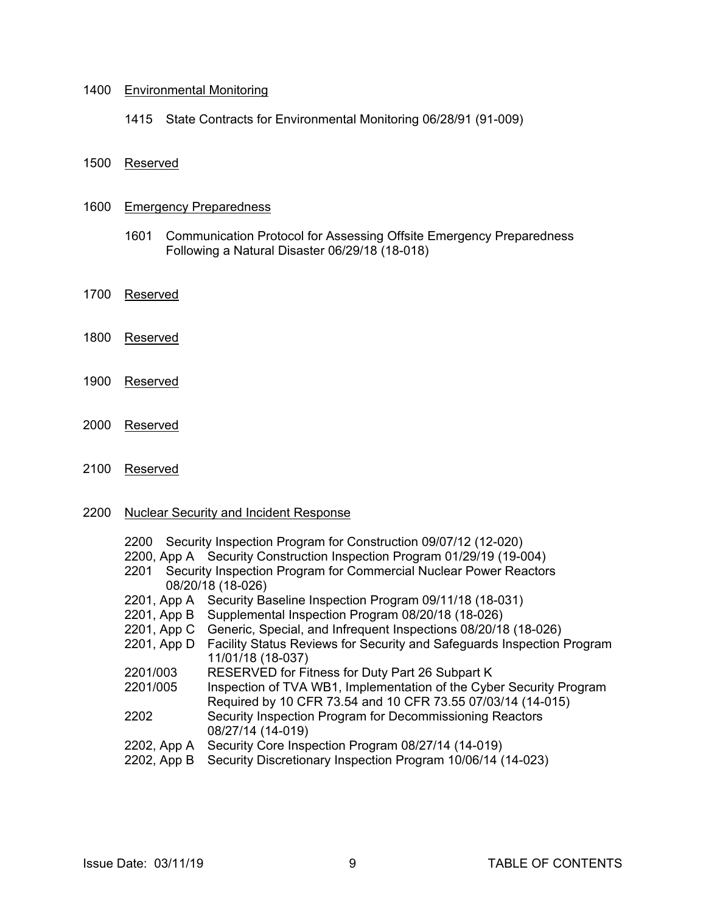#### 1400 Environmental Monitoring

1415 State Contracts for Environmental Monitoring 06/28/91 (91-009)

1500 Reserved

#### 1600 Emergency Preparedness

- 1601 Communication Protocol for Assessing Offsite Emergency Preparedness Following a Natural Disaster 06/29/18 (18-018)
- 1700 Reserved
- 1800 Reserved
- 1900 Reserved
- 2000 Reserved
- 2100 Reserved

#### 2200 Nuclear Security and Incident Response

|             | 2200 Security Inspection Program for Construction 09/07/12 (12-020)        |
|-------------|----------------------------------------------------------------------------|
|             | 2200, App A Security Construction Inspection Program 01/29/19 (19-004)     |
| 2201        | Security Inspection Program for Commercial Nuclear Power Reactors          |
|             | 08/20/18 (18-026)                                                          |
|             | 2201, App A Security Baseline Inspection Program 09/11/18 (18-031)         |
|             | 2201, App B Supplemental Inspection Program 08/20/18 (18-026)              |
|             | 2201, App C Generic, Special, and Infrequent Inspections 08/20/18 (18-026) |
| 2201, App D | Facility Status Reviews for Security and Safeguards Inspection Program     |
|             | 11/01/18 (18-037)                                                          |
| 2201/003    | RESERVED for Fitness for Duty Part 26 Subpart K                            |
| 2201/005    | Inspection of TVA WB1, Implementation of the Cyber Security Program        |
|             | Required by 10 CFR 73.54 and 10 CFR 73.55 07/03/14 (14-015)                |
| 2202        | Security Inspection Program for Decommissioning Reactors                   |
|             | 08/27/14 (14-019)                                                          |
| 2202, App A | Security Core Inspection Program 08/27/14 (14-019)                         |
| 2202, App B | Security Discretionary Inspection Program 10/06/14 (14-023)                |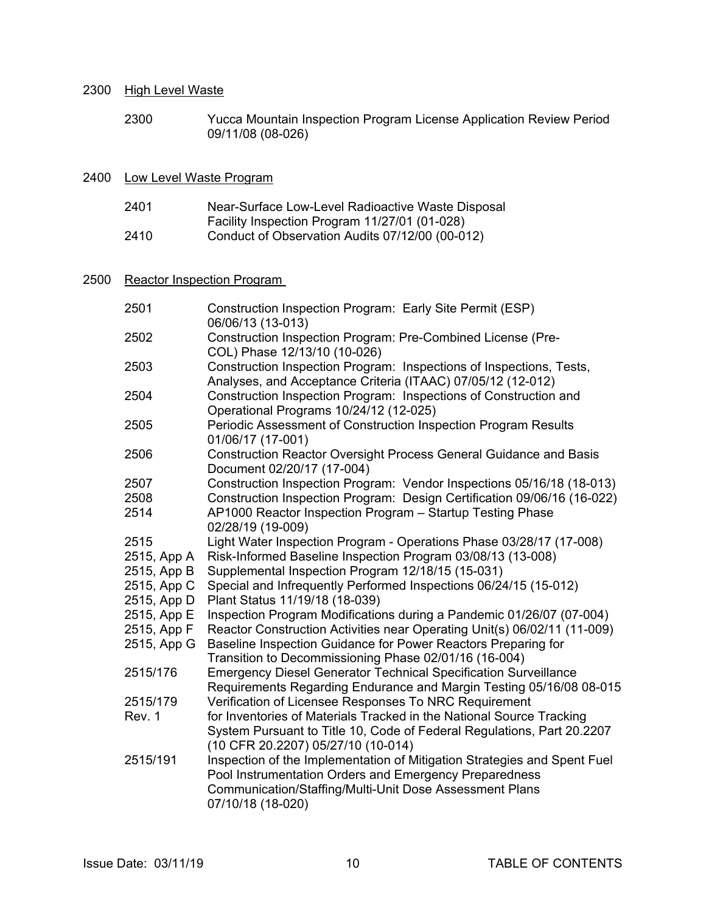#### 2300 High Level Waste

 2300 Yucca Mountain Inspection Program License Application Review Period 09/11/08 (08-026)

#### 2400 Low Level Waste Program

| 2401   | Near-Surface Low-Level Radioactive Waste Disposal                                                                                                                                                                                                                                                                                  |
|--------|------------------------------------------------------------------------------------------------------------------------------------------------------------------------------------------------------------------------------------------------------------------------------------------------------------------------------------|
|        | Facility Inspection Program 11/27/01 (01-028)                                                                                                                                                                                                                                                                                      |
| $\sim$ | $\mathbf{r}$ $\mathbf{r}$ $\mathbf{r}$ $\mathbf{r}$ $\mathbf{r}$ $\mathbf{r}$ $\mathbf{r}$ $\mathbf{r}$ $\mathbf{r}$ $\mathbf{r}$ $\mathbf{r}$ $\mathbf{r}$ $\mathbf{r}$ $\mathbf{r}$ $\mathbf{r}$ $\mathbf{r}$ $\mathbf{r}$ $\mathbf{r}$ $\mathbf{r}$ $\mathbf{r}$ $\mathbf{r}$ $\mathbf{r}$ $\mathbf{r}$ $\mathbf{r}$ $\mathbf{$ |

2410 Conduct of Observation Audits 07/12/00 (00-012)

## 2500 Reactor Inspection Program

| 2501        | Construction Inspection Program: Early Site Permit (ESP)<br>06/06/13 (13-013)                                                                                                                                      |
|-------------|--------------------------------------------------------------------------------------------------------------------------------------------------------------------------------------------------------------------|
| 2502        | Construction Inspection Program: Pre-Combined License (Pre-<br>COL) Phase 12/13/10 (10-026)                                                                                                                        |
| 2503        | Construction Inspection Program: Inspections of Inspections, Tests,<br>Analyses, and Acceptance Criteria (ITAAC) 07/05/12 (12-012)                                                                                 |
| 2504        | Construction Inspection Program: Inspections of Construction and<br>Operational Programs 10/24/12 (12-025)                                                                                                         |
| 2505        | Periodic Assessment of Construction Inspection Program Results<br>01/06/17 (17-001)                                                                                                                                |
| 2506        | Construction Reactor Oversight Process General Guidance and Basis<br>Document 02/20/17 (17-004)                                                                                                                    |
| 2507        | Construction Inspection Program: Vendor Inspections 05/16/18 (18-013)                                                                                                                                              |
| 2508        | Construction Inspection Program: Design Certification 09/06/16 (16-022)                                                                                                                                            |
| 2514        | AP1000 Reactor Inspection Program - Startup Testing Phase<br>02/28/19 (19-009)                                                                                                                                     |
| 2515        | Light Water Inspection Program - Operations Phase 03/28/17 (17-008)                                                                                                                                                |
| 2515, App A | Risk-Informed Baseline Inspection Program 03/08/13 (13-008)                                                                                                                                                        |
| 2515, App B | Supplemental Inspection Program 12/18/15 (15-031)                                                                                                                                                                  |
| 2515, App C | Special and Infrequently Performed Inspections 06/24/15 (15-012)                                                                                                                                                   |
| 2515, App D | Plant Status 11/19/18 (18-039)                                                                                                                                                                                     |
| 2515, App E | Inspection Program Modifications during a Pandemic 01/26/07 (07-004)                                                                                                                                               |
| 2515, App F | Reactor Construction Activities near Operating Unit(s) 06/02/11 (11-009)                                                                                                                                           |
| 2515, App G | Baseline Inspection Guidance for Power Reactors Preparing for<br>Transition to Decommissioning Phase 02/01/16 (16-004)                                                                                             |
| 2515/176    | <b>Emergency Diesel Generator Technical Specification Surveillance</b><br>Requirements Regarding Endurance and Margin Testing 05/16/08 08-015                                                                      |
| 2515/179    | Verification of Licensee Responses To NRC Requirement                                                                                                                                                              |
| Rev. 1      | for Inventories of Materials Tracked in the National Source Tracking<br>System Pursuant to Title 10, Code of Federal Regulations, Part 20.2207<br>(10 CFR 20.2207) 05/27/10 (10-014)                               |
| 2515/191    | Inspection of the Implementation of Mitigation Strategies and Spent Fuel<br>Pool Instrumentation Orders and Emergency Preparedness<br>Communication/Staffing/Multi-Unit Dose Assessment Plans<br>07/10/18 (18-020) |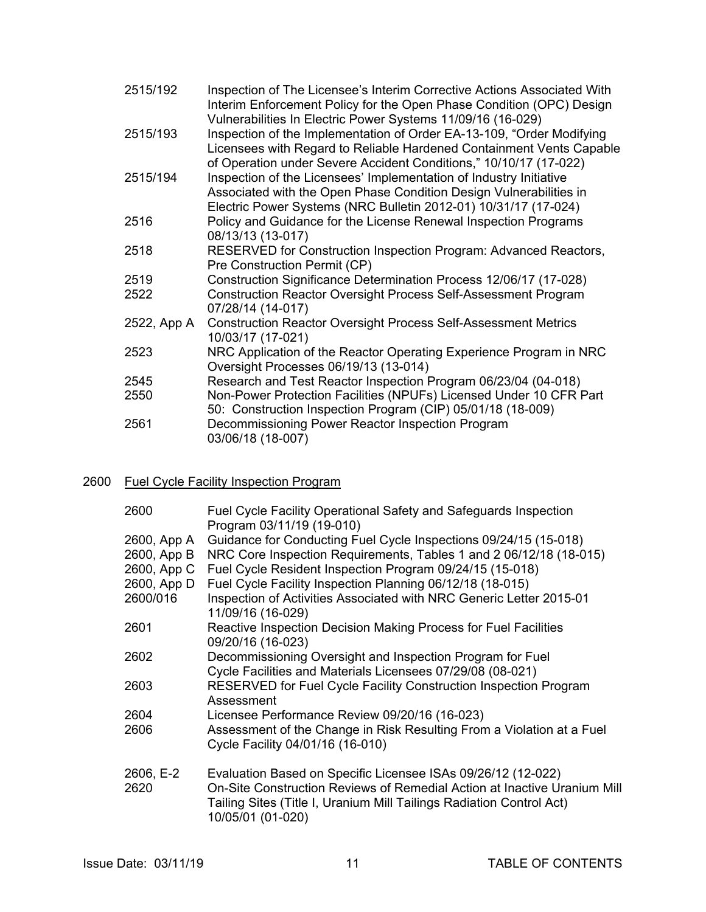| 2515/192    | Inspection of The Licensee's Interim Corrective Actions Associated With<br>Interim Enforcement Policy for the Open Phase Condition (OPC) Design                                                                                                                                   |
|-------------|-----------------------------------------------------------------------------------------------------------------------------------------------------------------------------------------------------------------------------------------------------------------------------------|
| 2515/193    | Vulnerabilities In Electric Power Systems 11/09/16 (16-029)<br>Inspection of the Implementation of Order EA-13-109, "Order Modifying<br>Licensees with Regard to Reliable Hardened Containment Vents Capable<br>of Operation under Severe Accident Conditions," 10/10/17 (17-022) |
| 2515/194    | Inspection of the Licensees' Implementation of Industry Initiative<br>Associated with the Open Phase Condition Design Vulnerabilities in<br>Electric Power Systems (NRC Bulletin 2012-01) 10/31/17 (17-024)                                                                       |
| 2516        | Policy and Guidance for the License Renewal Inspection Programs<br>08/13/13 (13-017)                                                                                                                                                                                              |
| 2518        | RESERVED for Construction Inspection Program: Advanced Reactors,<br>Pre Construction Permit (CP)                                                                                                                                                                                  |
| 2519        | Construction Significance Determination Process 12/06/17 (17-028)                                                                                                                                                                                                                 |
| 2522        | <b>Construction Reactor Oversight Process Self-Assessment Program</b><br>07/28/14 (14-017)                                                                                                                                                                                        |
| 2522, App A | <b>Construction Reactor Oversight Process Self-Assessment Metrics</b><br>10/03/17 (17-021)                                                                                                                                                                                        |
| 2523        | NRC Application of the Reactor Operating Experience Program in NRC<br>Oversight Processes 06/19/13 (13-014)                                                                                                                                                                       |
| 2545        | Research and Test Reactor Inspection Program 06/23/04 (04-018)                                                                                                                                                                                                                    |
| 2550        | Non-Power Protection Facilities (NPUFs) Licensed Under 10 CFR Part<br>50: Construction Inspection Program (CIP) 05/01/18 (18-009)                                                                                                                                                 |
| 2561        | Decommissioning Power Reactor Inspection Program<br>03/06/18 (18-007)                                                                                                                                                                                                             |
|             |                                                                                                                                                                                                                                                                                   |

## 2600 Fuel Cycle Facility Inspection Program

| 2600                       | Fuel Cycle Facility Operational Safety and Safeguards Inspection<br>Program 03/11/19 (19-010)                                                                                                                                         |
|----------------------------|---------------------------------------------------------------------------------------------------------------------------------------------------------------------------------------------------------------------------------------|
| 2600, App A<br>2600, App B | Guidance for Conducting Fuel Cycle Inspections 09/24/15 (15-018)<br>NRC Core Inspection Requirements, Tables 1 and 2 06/12/18 (18-015)                                                                                                |
|                            | 2600, App C Fuel Cycle Resident Inspection Program 09/24/15 (15-018)                                                                                                                                                                  |
| 2600, App D                | Fuel Cycle Facility Inspection Planning 06/12/18 (18-015)                                                                                                                                                                             |
| 2600/016                   | Inspection of Activities Associated with NRC Generic Letter 2015-01<br>11/09/16 (16-029)                                                                                                                                              |
| 2601                       | Reactive Inspection Decision Making Process for Fuel Facilities<br>09/20/16 (16-023)                                                                                                                                                  |
| 2602                       | Decommissioning Oversight and Inspection Program for Fuel                                                                                                                                                                             |
|                            | Cycle Facilities and Materials Licensees 07/29/08 (08-021)                                                                                                                                                                            |
| 2603                       | RESERVED for Fuel Cycle Facility Construction Inspection Program<br>Assessment                                                                                                                                                        |
| 2604                       | Licensee Performance Review 09/20/16 (16-023)                                                                                                                                                                                         |
| 2606                       | Assessment of the Change in Risk Resulting From a Violation at a Fuel<br>Cycle Facility 04/01/16 (16-010)                                                                                                                             |
| 2606, E-2<br>2620          | Evaluation Based on Specific Licensee ISAs 09/26/12 (12-022)<br>On-Site Construction Reviews of Remedial Action at Inactive Uranium Mill<br>Tailing Sites (Title I, Uranium Mill Tailings Radiation Control Act)<br>10/05/01 (01-020) |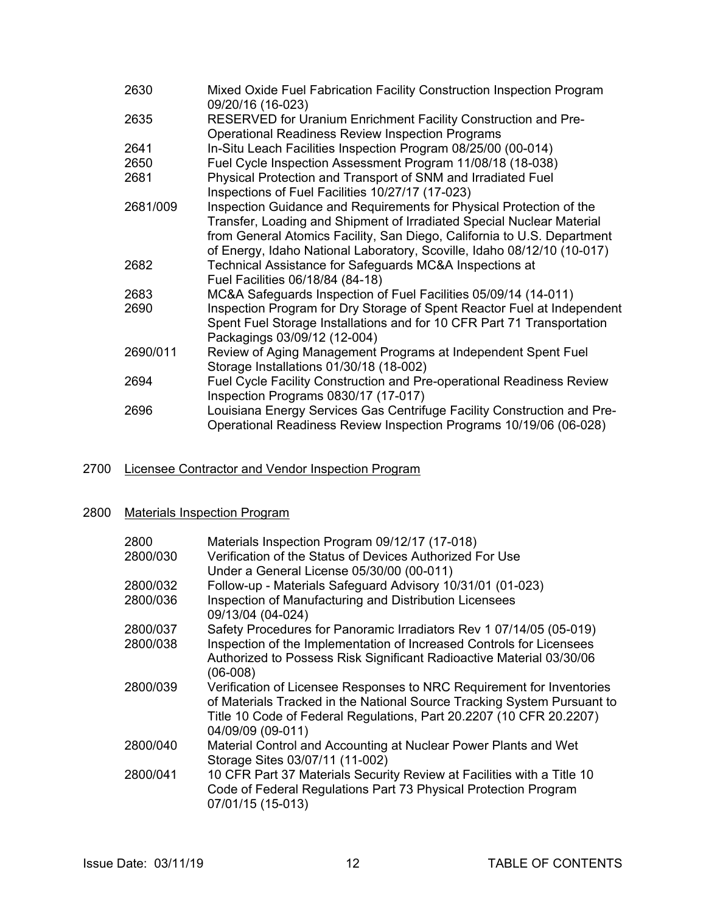| 2630     | Mixed Oxide Fuel Fabrication Facility Construction Inspection Program<br>09/20/16 (16-023)                                                                                                                                                                                                         |
|----------|----------------------------------------------------------------------------------------------------------------------------------------------------------------------------------------------------------------------------------------------------------------------------------------------------|
| 2635     | RESERVED for Uranium Enrichment Facility Construction and Pre-<br><b>Operational Readiness Review Inspection Programs</b>                                                                                                                                                                          |
| 2641     | In-Situ Leach Facilities Inspection Program 08/25/00 (00-014)                                                                                                                                                                                                                                      |
| 2650     | Fuel Cycle Inspection Assessment Program 11/08/18 (18-038)                                                                                                                                                                                                                                         |
| 2681     | Physical Protection and Transport of SNM and Irradiated Fuel<br>Inspections of Fuel Facilities 10/27/17 (17-023)                                                                                                                                                                                   |
| 2681/009 | Inspection Guidance and Requirements for Physical Protection of the<br>Transfer, Loading and Shipment of Irradiated Special Nuclear Material<br>from General Atomics Facility, San Diego, California to U.S. Department<br>of Energy, Idaho National Laboratory, Scoville, Idaho 08/12/10 (10-017) |
| 2682     | Technical Assistance for Safeguards MC&A Inspections at<br>Fuel Facilities 06/18/84 (84-18)                                                                                                                                                                                                        |
| 2683     | MC&A Safeguards Inspection of Fuel Facilities 05/09/14 (14-011)                                                                                                                                                                                                                                    |
| 2690     | Inspection Program for Dry Storage of Spent Reactor Fuel at Independent<br>Spent Fuel Storage Installations and for 10 CFR Part 71 Transportation<br>Packagings 03/09/12 (12-004)                                                                                                                  |
| 2690/011 | Review of Aging Management Programs at Independent Spent Fuel<br>Storage Installations 01/30/18 (18-002)                                                                                                                                                                                           |
| 2694     | Fuel Cycle Facility Construction and Pre-operational Readiness Review<br>Inspection Programs 0830/17 (17-017)                                                                                                                                                                                      |
| 2696     | Louisiana Energy Services Gas Centrifuge Facility Construction and Pre-<br>Operational Readiness Review Inspection Programs 10/19/06 (06-028)                                                                                                                                                      |

## 2700 Licensee Contractor and Vendor Inspection Program

## 2800 Materials Inspection Program

| 2800<br>2800/030 | Materials Inspection Program 09/12/17 (17-018)<br>Verification of the Status of Devices Authorized For Use<br>Under a General License 05/30/00 (00-011)                                                                                      |
|------------------|----------------------------------------------------------------------------------------------------------------------------------------------------------------------------------------------------------------------------------------------|
| 2800/032         | Follow-up - Materials Safeguard Advisory 10/31/01 (01-023)                                                                                                                                                                                   |
| 2800/036         | Inspection of Manufacturing and Distribution Licensees<br>09/13/04 (04-024)                                                                                                                                                                  |
| 2800/037         | Safety Procedures for Panoramic Irradiators Rev 1 07/14/05 (05-019)                                                                                                                                                                          |
| 2800/038         | Inspection of the Implementation of Increased Controls for Licensees<br>Authorized to Possess Risk Significant Radioactive Material 03/30/06<br>$(06-008)$                                                                                   |
| 2800/039         | Verification of Licensee Responses to NRC Requirement for Inventories<br>of Materials Tracked in the National Source Tracking System Pursuant to<br>Title 10 Code of Federal Regulations, Part 20.2207 (10 CFR 20.2207)<br>04/09/09 (09-011) |
| 2800/040         | Material Control and Accounting at Nuclear Power Plants and Wet<br>Storage Sites 03/07/11 (11-002)                                                                                                                                           |
| 2800/041         | 10 CFR Part 37 Materials Security Review at Facilities with a Title 10<br>Code of Federal Regulations Part 73 Physical Protection Program<br>07/01/15 (15-013)                                                                               |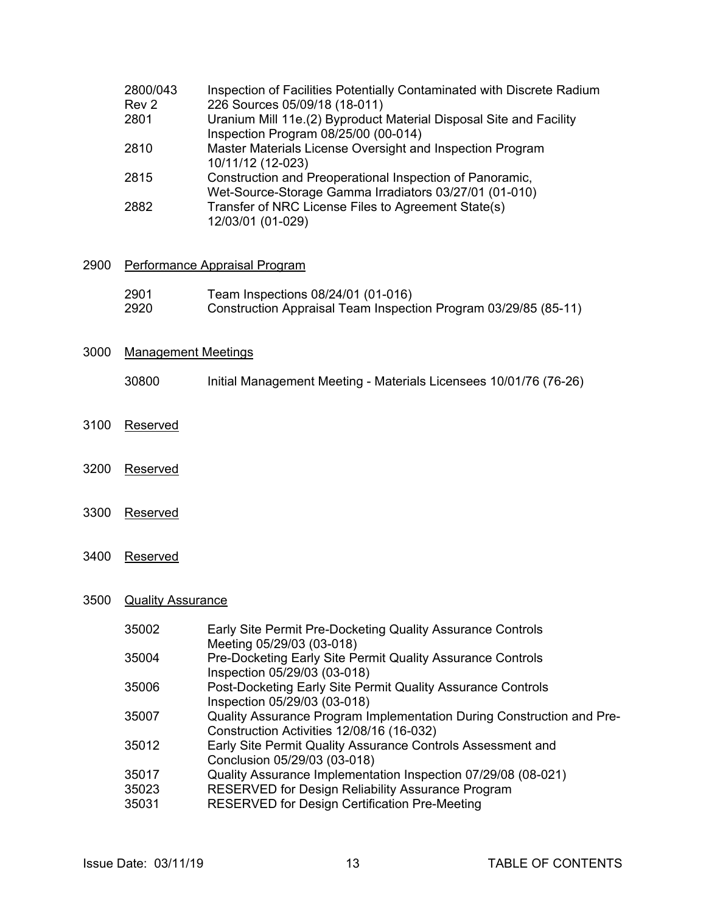| 2800/043         | Inspection of Facilities Potentially Contaminated with Discrete Radium |
|------------------|------------------------------------------------------------------------|
| Rev <sub>2</sub> | 226 Sources 05/09/18 (18-011)                                          |
| 2801             | Uranium Mill 11e.(2) Byproduct Material Disposal Site and Facility     |
|                  | Inspection Program 08/25/00 (00-014)                                   |
| 2810             | Master Materials License Oversight and Inspection Program              |
|                  | 10/11/12 (12-023)                                                      |
| 2815             | Construction and Preoperational Inspection of Panoramic,               |
|                  | Wet-Source-Storage Gamma Irradiators 03/27/01 (01-010)                 |
| 2882             | Transfer of NRC License Files to Agreement State(s)                    |
|                  | 12/03/01 (01-029)                                                      |

#### 2900 Performance Appraisal Program

| 2901 | Team Inspections 08/24/01 (01-016)                              |
|------|-----------------------------------------------------------------|
| 2920 | Construction Appraisal Team Inspection Program 03/29/85 (85-11) |

## 3000 Management Meetings

- 30800 Initial Management Meeting Materials Licensees 10/01/76 (76-26)
- 3100 Reserved
- 3200 Reserved
- 3300 Reserved
- 3400 Reserved

## 3500 Quality Assurance

| 35002 | Early Site Permit Pre-Docketing Quality Assurance Controls            |
|-------|-----------------------------------------------------------------------|
|       | Meeting 05/29/03 (03-018)                                             |
| 35004 | Pre-Docketing Early Site Permit Quality Assurance Controls            |
|       | Inspection 05/29/03 (03-018)                                          |
| 35006 | Post-Docketing Early Site Permit Quality Assurance Controls           |
|       | Inspection 05/29/03 (03-018)                                          |
| 35007 | Quality Assurance Program Implementation During Construction and Pre- |
|       | Construction Activities 12/08/16 (16-032)                             |
| 35012 | Early Site Permit Quality Assurance Controls Assessment and           |
|       | Conclusion 05/29/03 (03-018)                                          |
| 35017 | Quality Assurance Implementation Inspection 07/29/08 (08-021)         |
| 35023 | RESERVED for Design Reliability Assurance Program                     |
| 35031 | <b>RESERVED for Design Certification Pre-Meeting</b>                  |
|       |                                                                       |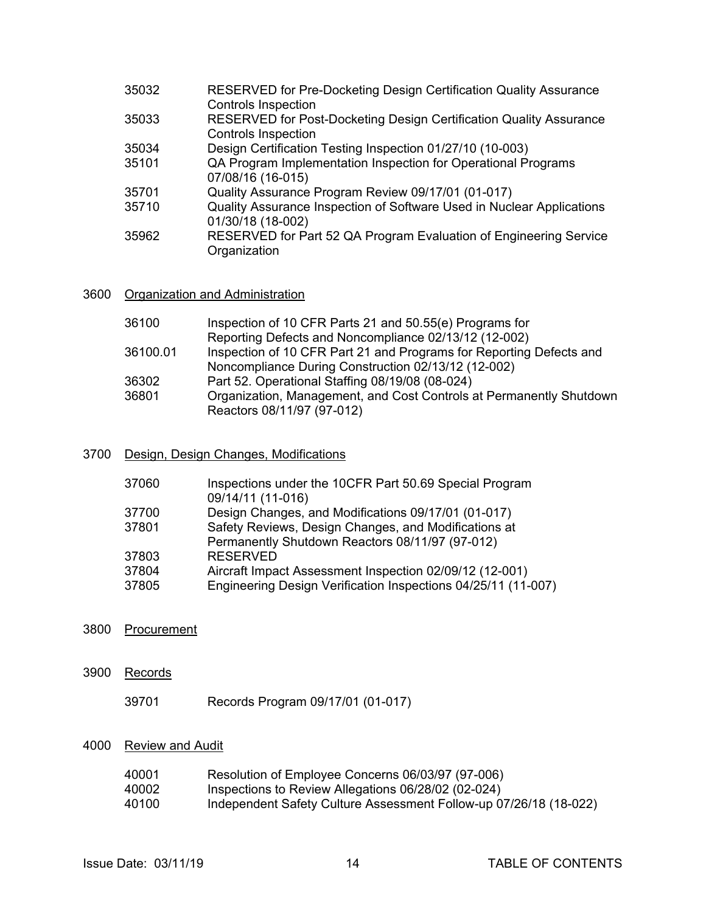| RESERVED for Post-Docketing Design Certification Quality Assurance<br>35033<br><b>Controls Inspection</b> |  |
|-----------------------------------------------------------------------------------------------------------|--|
| Design Certification Testing Inspection 01/27/10 (10-003)<br>35034                                        |  |
| QA Program Implementation Inspection for Operational Programs<br>35101<br>07/08/16 (16-015)               |  |
| Quality Assurance Program Review 09/17/01 (01-017)<br>35701                                               |  |
| Quality Assurance Inspection of Software Used in Nuclear Applications<br>35710<br>01/30/18 (18-002)       |  |
| RESERVED for Part 52 QA Program Evaluation of Engineering Service<br>35962<br>Organization                |  |

## 3600 Organization and Administration

| 36100    | Inspection of 10 CFR Parts 21 and 50.55(e) Programs for             |
|----------|---------------------------------------------------------------------|
|          | Reporting Defects and Noncompliance 02/13/12 (12-002)               |
| 36100.01 | Inspection of 10 CFR Part 21 and Programs for Reporting Defects and |
|          | Noncompliance During Construction 02/13/12 (12-002)                 |
| 36302    | Part 52. Operational Staffing 08/19/08 (08-024)                     |
| 36801    | Organization, Management, and Cost Controls at Permanently Shutdown |
|          | Reactors 08/11/97 (97-012)                                          |

### 3700 Design, Design Changes, Modifications

| 37060 | Inspections under the 10CFR Part 50.69 Special Program<br>09/14/11 (11-016) |
|-------|-----------------------------------------------------------------------------|
| 37700 | Design Changes, and Modifications 09/17/01 (01-017)                         |
| 37801 | Safety Reviews, Design Changes, and Modifications at                        |
|       | Permanently Shutdown Reactors 08/11/97 (97-012)                             |
| 37803 | <b>RESERVED</b>                                                             |
| 37804 | Aircraft Impact Assessment Inspection 02/09/12 (12-001)                     |
| 37805 | Engineering Design Verification Inspections 04/25/11 (11-007)               |
|       |                                                                             |

- 3800 Procurement
- 3900 Records
	- 39701 Records Program 09/17/01 (01-017)

## 4000 Review and Audit

| 40001 | Resolution of Employee Concerns 06/03/97 (97-006)                 |
|-------|-------------------------------------------------------------------|
| 40002 | Inspections to Review Allegations 06/28/02 (02-024)               |
| 40100 | Independent Safety Culture Assessment Follow-up 07/26/18 (18-022) |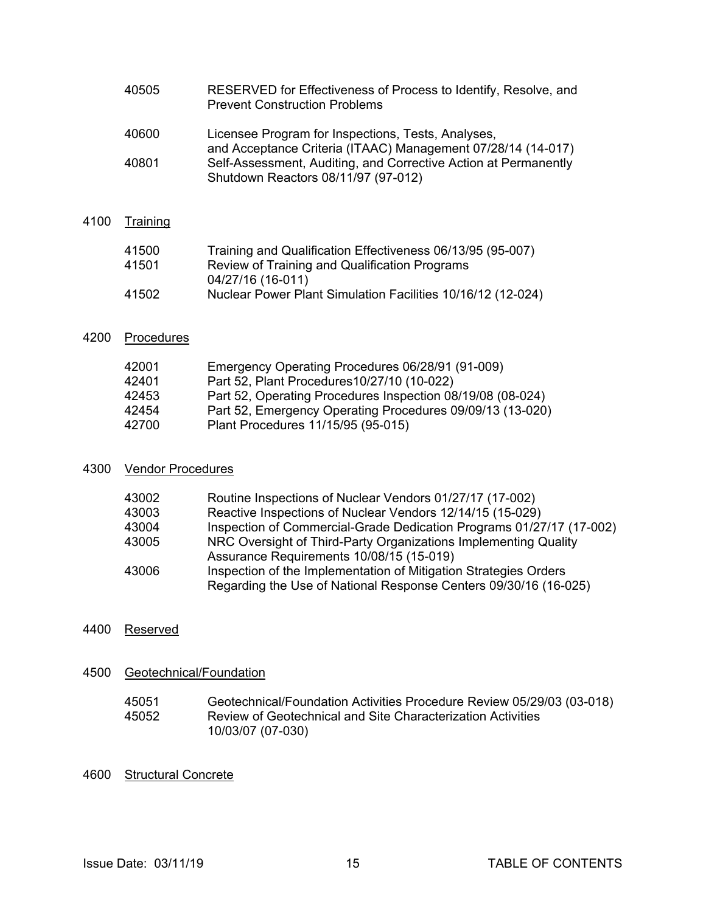| 40505 | RESERVED for Effectiveness of Process to Identify, Resolve, and |
|-------|-----------------------------------------------------------------|
|       | <b>Prevent Construction Problems</b>                            |

| 40600 | Licensee Program for Inspections, Tests, Analyses,              |
|-------|-----------------------------------------------------------------|
|       | and Acceptance Criteria (ITAAC) Management 07/28/14 (14-017)    |
| 40801 | Self-Assessment, Auditing, and Corrective Action at Permanently |
|       | Shutdown Reactors 08/11/97 (97-012)                             |
|       |                                                                 |

## 4100 Training

| 41500 | Training and Qualification Effectiveness 06/13/95 (95-007)  |
|-------|-------------------------------------------------------------|
| 41501 | Review of Training and Qualification Programs               |
|       | 04/27/16 (16-011)                                           |
| 41502 | Nuclear Power Plant Simulation Facilities 10/16/12 (12-024) |
|       |                                                             |

## 4200 Procedures

| 42001 | Emergency Operating Procedures 06/28/91 (91-009)           |
|-------|------------------------------------------------------------|
| 42401 | Part 52, Plant Procedures 10/27/10 (10-022)                |
| 42453 | Part 52, Operating Procedures Inspection 08/19/08 (08-024) |
| 42454 | Part 52, Emergency Operating Procedures 09/09/13 (13-020)  |
| 42700 | Plant Procedures 11/15/95 (95-015)                         |
|       |                                                            |

### 4300 Vendor Procedures

| 43002 | Routine Inspections of Nuclear Vendors 01/27/17 (17-002)             |
|-------|----------------------------------------------------------------------|
| 43003 | Reactive Inspections of Nuclear Vendors 12/14/15 (15-029)            |
| 43004 | Inspection of Commercial-Grade Dedication Programs 01/27/17 (17-002) |
| 43005 | NRC Oversight of Third-Party Organizations Implementing Quality      |
|       | Assurance Requirements 10/08/15 (15-019)                             |
| 43006 | Inspection of the Implementation of Mitigation Strategies Orders     |
|       | Regarding the Use of National Response Centers 09/30/16 (16-025)     |
|       |                                                                      |

## 4400 Reserved

4500 Geotechnical/Foundation

| 45051 | Geotechnical/Foundation Activities Procedure Review 05/29/03 (03-018) |
|-------|-----------------------------------------------------------------------|
| 45052 | Review of Geotechnical and Site Characterization Activities           |
|       | 10/03/07 (07-030)                                                     |

## 4600 Structural Concrete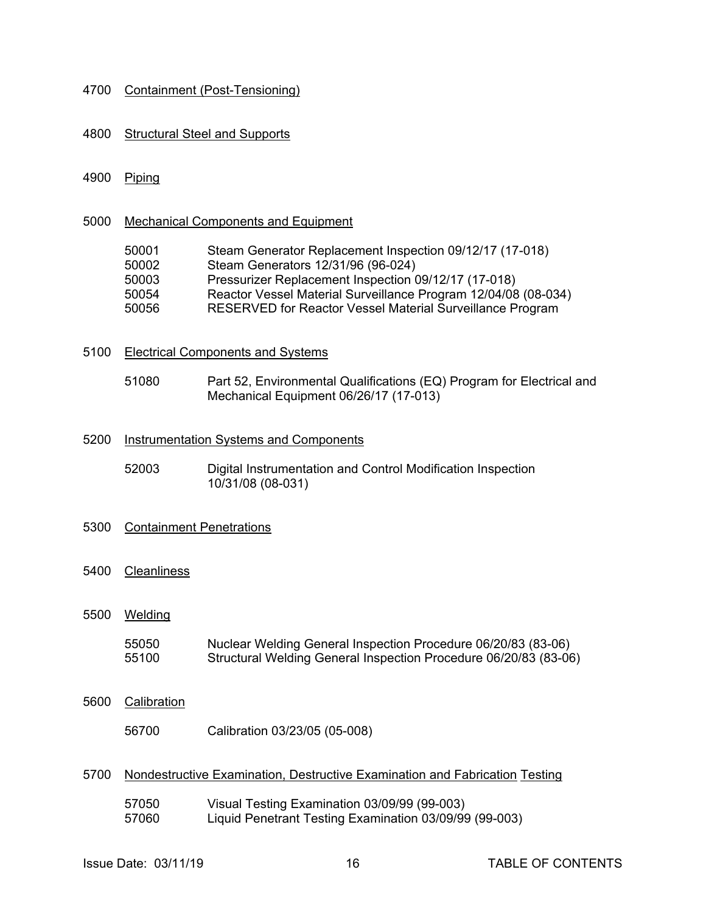#### 4700 Containment (Post-Tensioning)

#### 4800 Structural Steel and Supports

#### 4900 Piping

#### 5000 Mechanical Components and Equipment

| 50001 | Steam Generator Replacement Inspection 09/12/17 (17-018)         |
|-------|------------------------------------------------------------------|
| 50002 | Steam Generators 12/31/96 (96-024)                               |
| 50003 | Pressurizer Replacement Inspection 09/12/17 (17-018)             |
| 50054 | Reactor Vessel Material Surveillance Program 12/04/08 (08-034)   |
| 50056 | <b>RESERVED for Reactor Vessel Material Surveillance Program</b> |

#### 5100 Electrical Components and Systems

 51080 Part 52, Environmental Qualifications (EQ) Program for Electrical and Mechanical Equipment 06/26/17 (17-013)

#### 5200 Instrumentation Systems and Components

 52003 Digital Instrumentation and Control Modification Inspection 10/31/08 (08-031)

#### 5300 Containment Penetrations

5400 Cleanliness

#### 5500 Welding

55050 Nuclear Welding General Inspection Procedure 06/20/83 (83-06) 55100 Structural Welding General Inspection Procedure 06/20/83 (83-06)

#### 5600 Calibration

56700 Calibration 03/23/05 (05-008)

#### 5700 Nondestructive Examination, Destructive Examination and Fabrication Testing

- 57050 Visual Testing Examination 03/09/99 (99-003)
- 57060 Liquid Penetrant Testing Examination 03/09/99 (99-003)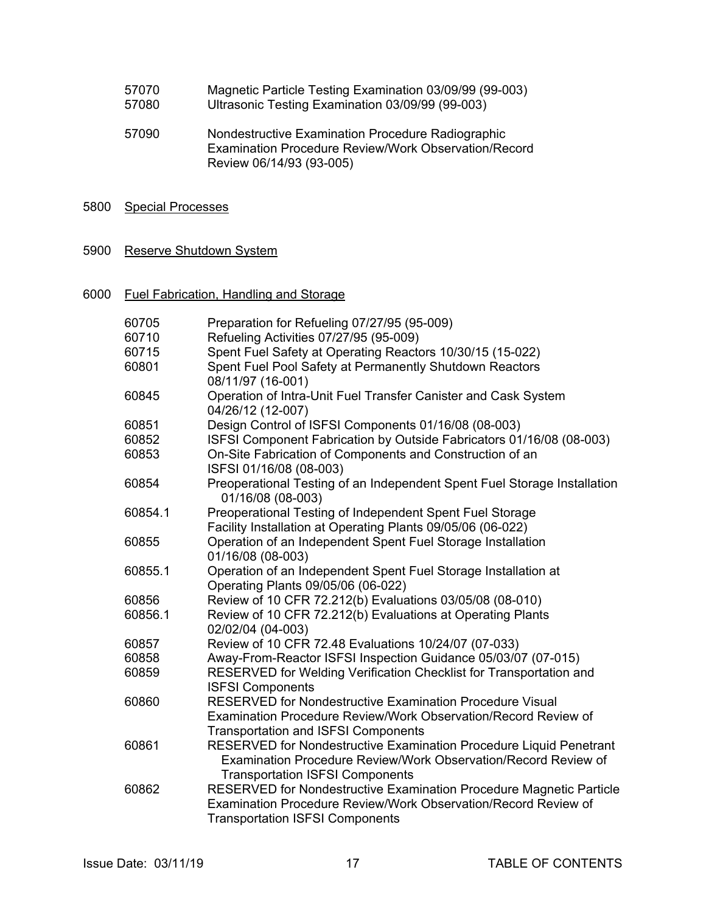| 57070 | Magnetic Particle Testing Examination 03/09/99 (99-003) |
|-------|---------------------------------------------------------|
| 57080 | Ultrasonic Testing Examination 03/09/99 (99-003)        |

 57090 Nondestructive Examination Procedure Radiographic Examination Procedure Review/Work Observation/Record Review 06/14/93 (93-005)

### 5800 Special Processes

#### 5900 Reserve Shutdown System

6000 Fuel Fabrication, Handling and Storage

| 60705   | Preparation for Refueling 07/27/95 (95-009)                                                   |
|---------|-----------------------------------------------------------------------------------------------|
| 60710   | Refueling Activities 07/27/95 (95-009)                                                        |
| 60715   | Spent Fuel Safety at Operating Reactors 10/30/15 (15-022)                                     |
| 60801   | Spent Fuel Pool Safety at Permanently Shutdown Reactors                                       |
|         | 08/11/97 (16-001)                                                                             |
| 60845   | Operation of Intra-Unit Fuel Transfer Canister and Cask System<br>04/26/12 (12-007)           |
| 60851   | Design Control of ISFSI Components 01/16/08 (08-003)                                          |
| 60852   | ISFSI Component Fabrication by Outside Fabricators 01/16/08 (08-003)                          |
| 60853   | On-Site Fabrication of Components and Construction of an                                      |
|         | ISFSI 01/16/08 (08-003)                                                                       |
| 60854   | Preoperational Testing of an Independent Spent Fuel Storage Installation<br>01/16/08 (08-003) |
| 60854.1 | Preoperational Testing of Independent Spent Fuel Storage                                      |
|         | Facility Installation at Operating Plants 09/05/06 (06-022)                                   |
| 60855   | Operation of an Independent Spent Fuel Storage Installation                                   |
|         | 01/16/08 (08-003)                                                                             |
| 60855.1 | Operation of an Independent Spent Fuel Storage Installation at                                |
|         | Operating Plants 09/05/06 (06-022)                                                            |
| 60856   | Review of 10 CFR 72.212(b) Evaluations 03/05/08 (08-010)                                      |
| 60856.1 | Review of 10 CFR 72.212(b) Evaluations at Operating Plants                                    |
|         | 02/02/04 (04-003)                                                                             |
| 60857   | Review of 10 CFR 72.48 Evaluations 10/24/07 (07-033)                                          |
| 60858   | Away-From-Reactor ISFSI Inspection Guidance 05/03/07 (07-015)                                 |
| 60859   | RESERVED for Welding Verification Checklist for Transportation and                            |
|         | <b>ISFSI Components</b>                                                                       |
| 60860   | <b>RESERVED for Nondestructive Examination Procedure Visual</b>                               |
|         | Examination Procedure Review/Work Observation/Record Review of                                |
|         | <b>Transportation and ISFSI Components</b>                                                    |
| 60861   | RESERVED for Nondestructive Examination Procedure Liquid Penetrant                            |
|         | Examination Procedure Review/Work Observation/Record Review of                                |
|         | <b>Transportation ISFSI Components</b>                                                        |
| 60862   | RESERVED for Nondestructive Examination Procedure Magnetic Particle                           |
|         | Examination Procedure Review/Work Observation/Record Review of                                |
|         | <b>Transportation ISFSI Components</b>                                                        |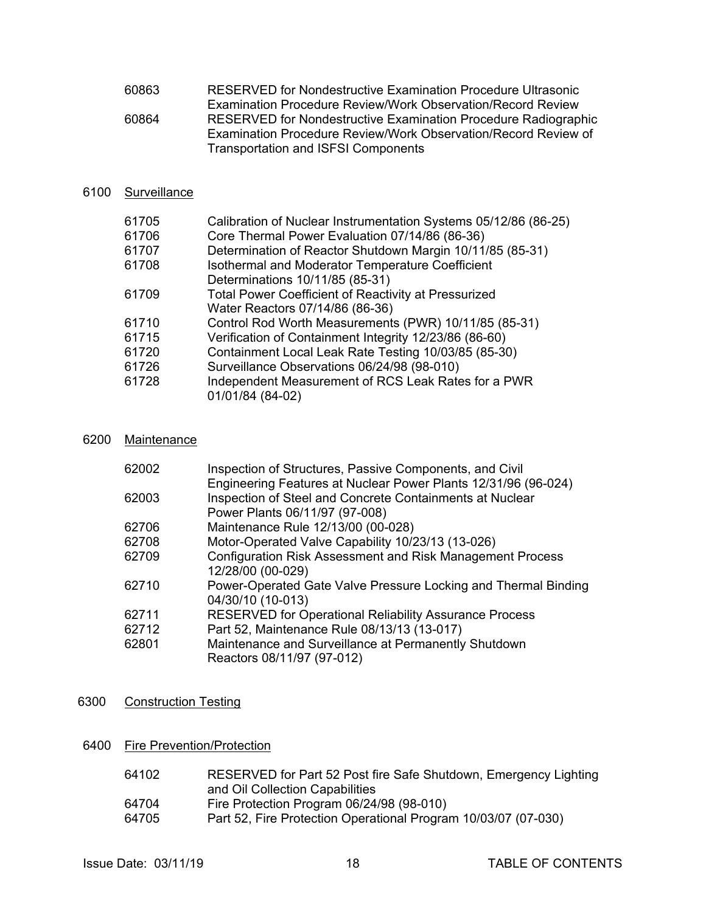| 60863 | RESERVED for Nondestructive Examination Procedure Ultrasonic       |
|-------|--------------------------------------------------------------------|
|       | <b>Examination Procedure Review/Work Observation/Record Review</b> |
| 60864 | RESERVED for Nondestructive Examination Procedure Radiographic     |
|       | Examination Procedure Review/Work Observation/Record Review of     |
|       | <b>Transportation and ISFSI Components</b>                         |

## 6100 Surveillance

| Calibration of Nuclear Instrumentation Systems 05/12/86 (86-25) |
|-----------------------------------------------------------------|
| Core Thermal Power Evaluation 07/14/86 (86-36)                  |
| Determination of Reactor Shutdown Margin 10/11/85 (85-31)       |
| Isothermal and Moderator Temperature Coefficient                |
| Determinations 10/11/85 (85-31)                                 |
| <b>Total Power Coefficient of Reactivity at Pressurized</b>     |
| Water Reactors 07/14/86 (86-36)                                 |
| Control Rod Worth Measurements (PWR) 10/11/85 (85-31)           |
| Verification of Containment Integrity 12/23/86 (86-60)          |
| Containment Local Leak Rate Testing 10/03/85 (85-30)            |
| Surveillance Observations 06/24/98 (98-010)                     |
| Independent Measurement of RCS Leak Rates for a PWR             |
| 01/01/84 (84-02)                                                |
|                                                                 |

## 6200 Maintenance

| 62002 | Inspection of Structures, Passive Components, and Civil<br>Engineering Features at Nuclear Power Plants 12/31/96 (96-024) |
|-------|---------------------------------------------------------------------------------------------------------------------------|
| 62003 | Inspection of Steel and Concrete Containments at Nuclear<br>Power Plants 06/11/97 (97-008)                                |
| 62706 | Maintenance Rule 12/13/00 (00-028)                                                                                        |
| 62708 | Motor-Operated Valve Capability 10/23/13 (13-026)                                                                         |
| 62709 | <b>Configuration Risk Assessment and Risk Management Process</b><br>12/28/00 (00-029)                                     |
| 62710 | Power-Operated Gate Valve Pressure Locking and Thermal Binding<br>04/30/10 (10-013)                                       |
| 62711 | RESERVED for Operational Reliability Assurance Process                                                                    |
| 62712 | Part 52, Maintenance Rule 08/13/13 (13-017)                                                                               |
| 62801 | Maintenance and Surveillance at Permanently Shutdown                                                                      |
|       | Reactors 08/11/97 (97-012)                                                                                                |
|       |                                                                                                                           |

## 6300 Construction Testing

## 6400 Fire Prevention/Protection

| 64102 | RESERVED for Part 52 Post fire Safe Shutdown, Emergency Lighting |
|-------|------------------------------------------------------------------|
|       | and Oil Collection Capabilities                                  |
| 64704 | Fire Protection Program 06/24/98 (98-010)                        |
| 64705 | Part 52, Fire Protection Operational Program 10/03/07 (07-030)   |
|       |                                                                  |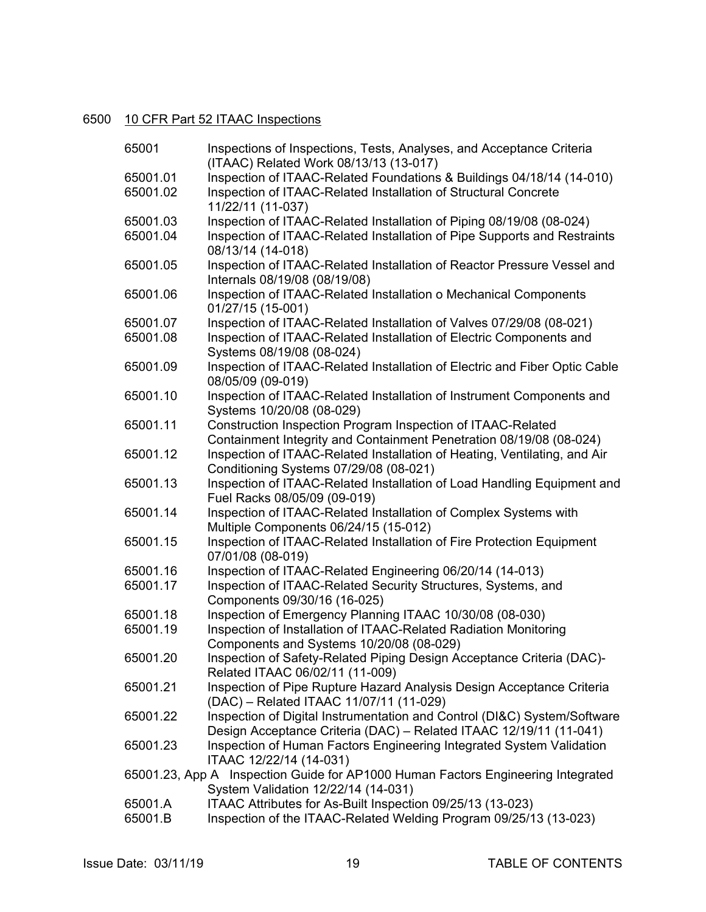## 6500 10 CFR Part 52 ITAAC Inspections

| 65001    | Inspections of Inspections, Tests, Analyses, and Acceptance Criteria<br>(ITAAC) Related Work 08/13/13 (13-017)               |
|----------|------------------------------------------------------------------------------------------------------------------------------|
| 65001.01 | Inspection of ITAAC-Related Foundations & Buildings 04/18/14 (14-010)                                                        |
| 65001.02 | Inspection of ITAAC-Related Installation of Structural Concrete                                                              |
|          | 11/22/11 (11-037)                                                                                                            |
| 65001.03 | Inspection of ITAAC-Related Installation of Piping 08/19/08 (08-024)                                                         |
| 65001.04 | Inspection of ITAAC-Related Installation of Pipe Supports and Restraints                                                     |
|          | 08/13/14 (14-018)                                                                                                            |
| 65001.05 | Inspection of ITAAC-Related Installation of Reactor Pressure Vessel and                                                      |
|          | Internals 08/19/08 (08/19/08)                                                                                                |
| 65001.06 | Inspection of ITAAC-Related Installation o Mechanical Components                                                             |
|          | 01/27/15 (15-001)                                                                                                            |
| 65001.07 | Inspection of ITAAC-Related Installation of Valves 07/29/08 (08-021)                                                         |
| 65001.08 | Inspection of ITAAC-Related Installation of Electric Components and                                                          |
|          | Systems 08/19/08 (08-024)                                                                                                    |
| 65001.09 | Inspection of ITAAC-Related Installation of Electric and Fiber Optic Cable                                                   |
|          | 08/05/09 (09-019)                                                                                                            |
| 65001.10 | Inspection of ITAAC-Related Installation of Instrument Components and                                                        |
|          | Systems 10/20/08 (08-029)                                                                                                    |
| 65001.11 | Construction Inspection Program Inspection of ITAAC-Related                                                                  |
|          | Containment Integrity and Containment Penetration 08/19/08 (08-024)                                                          |
| 65001.12 | Inspection of ITAAC-Related Installation of Heating, Ventilating, and Air                                                    |
|          | Conditioning Systems 07/29/08 (08-021)                                                                                       |
| 65001.13 | Inspection of ITAAC-Related Installation of Load Handling Equipment and                                                      |
|          | Fuel Racks 08/05/09 (09-019)                                                                                                 |
| 65001.14 | Inspection of ITAAC-Related Installation of Complex Systems with                                                             |
|          | Multiple Components 06/24/15 (15-012)                                                                                        |
| 65001.15 | Inspection of ITAAC-Related Installation of Fire Protection Equipment                                                        |
|          | 07/01/08 (08-019)                                                                                                            |
| 65001.16 | Inspection of ITAAC-Related Engineering 06/20/14 (14-013)                                                                    |
| 65001.17 | Inspection of ITAAC-Related Security Structures, Systems, and                                                                |
| 65001.18 | Components 09/30/16 (16-025)                                                                                                 |
| 65001.19 | Inspection of Emergency Planning ITAAC 10/30/08 (08-030)<br>Inspection of Installation of ITAAC-Related Radiation Monitoring |
|          | Components and Systems 10/20/08 (08-029)                                                                                     |
| 65001.20 | Inspection of Safety-Related Piping Design Acceptance Criteria (DAC)-                                                        |
|          | Related ITAAC 06/02/11 (11-009)                                                                                              |
| 65001.21 | Inspection of Pipe Rupture Hazard Analysis Design Acceptance Criteria                                                        |
|          | (DAC) - Related ITAAC 11/07/11 (11-029)                                                                                      |
| 65001.22 | Inspection of Digital Instrumentation and Control (DI&C) System/Software                                                     |
|          | Design Acceptance Criteria (DAC) - Related ITAAC 12/19/11 (11-041)                                                           |
| 65001.23 | Inspection of Human Factors Engineering Integrated System Validation                                                         |
|          | ITAAC 12/22/14 (14-031)                                                                                                      |
|          | 65001.23, App A Inspection Guide for AP1000 Human Factors Engineering Integrated                                             |
|          | System Validation 12/22/14 (14-031)                                                                                          |
| 65001.A  | ITAAC Attributes for As-Built Inspection 09/25/13 (13-023)                                                                   |
| 65001.B  | Inspection of the ITAAC-Related Welding Program 09/25/13 (13-023)                                                            |
|          |                                                                                                                              |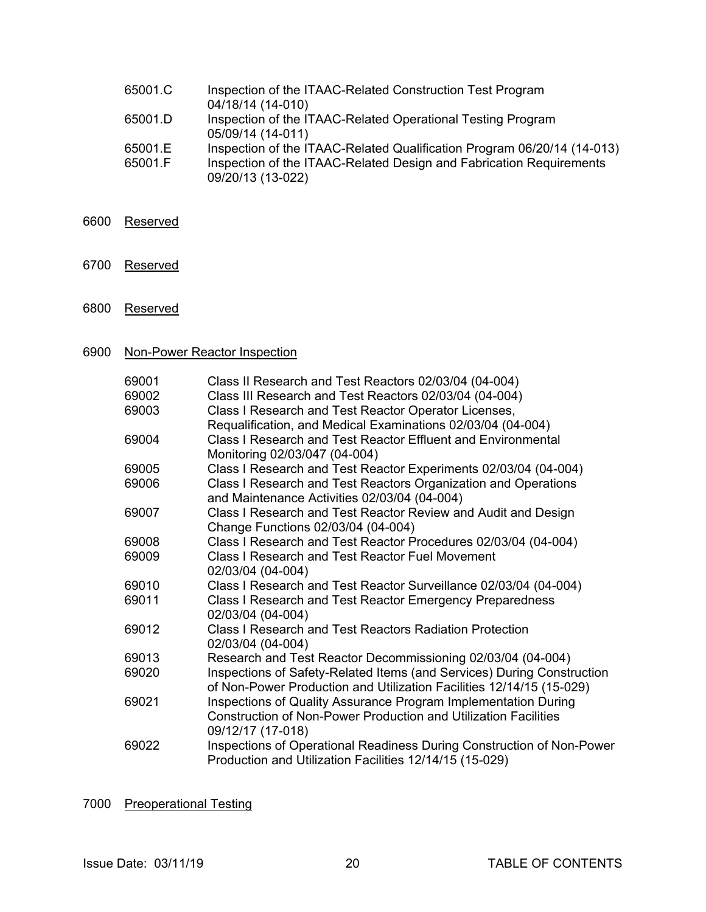| 65001.C | Inspection of the ITAAC-Related Construction Test Program               |
|---------|-------------------------------------------------------------------------|
|         | 04/18/14 (14-010)                                                       |
| 65001.D | Inspection of the ITAAC-Related Operational Testing Program             |
|         | 05/09/14 (14-011)                                                       |
| 65001.E | Inspection of the ITAAC-Related Qualification Program 06/20/14 (14-013) |
| 65001.F | Inspection of the ITAAC-Related Design and Fabrication Requirements     |
|         | 09/20/13 (13-022)                                                       |

- 6600 Reserved
- 6700 Reserved
- 6800 Reserved

## 6900 Non-Power Reactor Inspection

| 69001 | Class II Research and Test Reactors 02/03/04 (04-004)                                                                                                         |
|-------|---------------------------------------------------------------------------------------------------------------------------------------------------------------|
| 69002 | Class III Research and Test Reactors 02/03/04 (04-004)                                                                                                        |
| 69003 | Class I Research and Test Reactor Operator Licenses,                                                                                                          |
|       | Requalification, and Medical Examinations 02/03/04 (04-004)                                                                                                   |
| 69004 | Class I Research and Test Reactor Effluent and Environmental<br>Monitoring 02/03/047 (04-004)                                                                 |
| 69005 | Class I Research and Test Reactor Experiments 02/03/04 (04-004)                                                                                               |
| 69006 | Class I Research and Test Reactors Organization and Operations<br>and Maintenance Activities 02/03/04 (04-004)                                                |
| 69007 | Class I Research and Test Reactor Review and Audit and Design<br>Change Functions 02/03/04 (04-004)                                                           |
| 69008 | Class I Research and Test Reactor Procedures 02/03/04 (04-004)                                                                                                |
| 69009 | <b>Class I Research and Test Reactor Fuel Movement</b><br>02/03/04 (04-004)                                                                                   |
| 69010 | Class I Research and Test Reactor Surveillance 02/03/04 (04-004)                                                                                              |
| 69011 | Class I Research and Test Reactor Emergency Preparedness<br>02/03/04 (04-004)                                                                                 |
| 69012 | <b>Class I Research and Test Reactors Radiation Protection</b><br>02/03/04 (04-004)                                                                           |
| 69013 | Research and Test Reactor Decommissioning 02/03/04 (04-004)                                                                                                   |
| 69020 | Inspections of Safety-Related Items (and Services) During Construction<br>of Non-Power Production and Utilization Facilities 12/14/15 (15-029)                |
| 69021 | Inspections of Quality Assurance Program Implementation During<br><b>Construction of Non-Power Production and Utilization Facilities</b><br>09/12/17 (17-018) |
| 69022 | Inspections of Operational Readiness During Construction of Non-Power<br>Production and Utilization Facilities 12/14/15 (15-029)                              |

## 7000 Preoperational Testing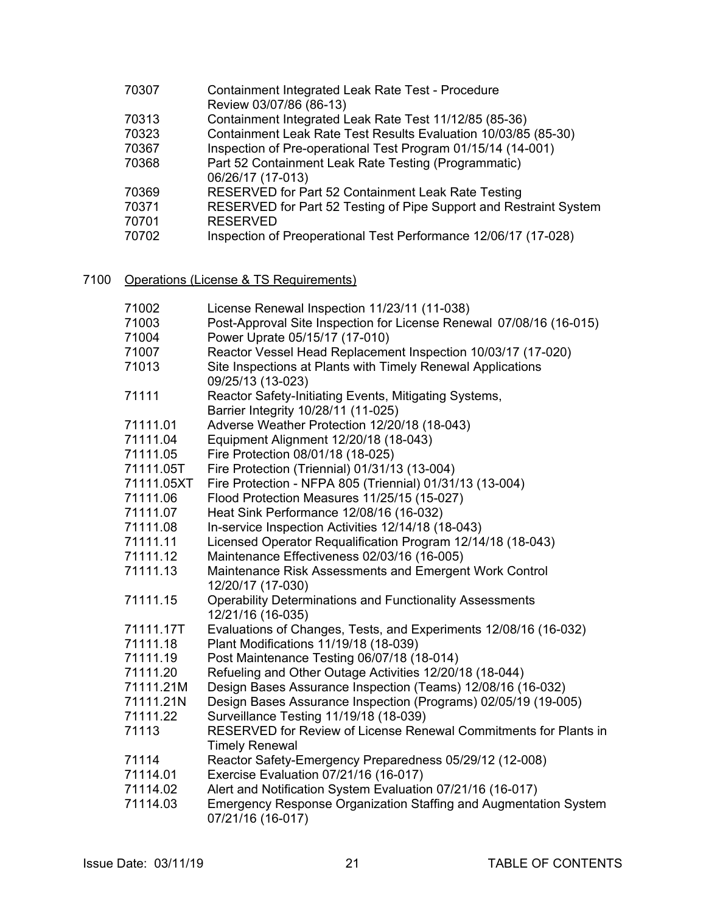| 70307 | Containment Integrated Leak Rate Test - Procedure                 |
|-------|-------------------------------------------------------------------|
|       | Review 03/07/86 (86-13)                                           |
| 70313 | Containment Integrated Leak Rate Test 11/12/85 (85-36)            |
| 70323 | Containment Leak Rate Test Results Evaluation 10/03/85 (85-30)    |
| 70367 | Inspection of Pre-operational Test Program 01/15/14 (14-001)      |
| 70368 | Part 52 Containment Leak Rate Testing (Programmatic)              |
|       | 06/26/17 (17-013)                                                 |
| 70369 | RESERVED for Part 52 Containment Leak Rate Testing                |
| 70371 | RESERVED for Part 52 Testing of Pipe Support and Restraint System |
| 70701 | <b>RESERVED</b>                                                   |
| 70702 | Inspection of Preoperational Test Performance 12/06/17 (17-028)   |
|       |                                                                   |

7100 Operations (License & TS Requirements)

| 71002      | License Renewal Inspection 11/23/11 (11-038)                        |
|------------|---------------------------------------------------------------------|
| 71003      | Post-Approval Site Inspection for License Renewal 07/08/16 (16-015) |
| 71004      | Power Uprate 05/15/17 (17-010)                                      |
| 71007      | Reactor Vessel Head Replacement Inspection 10/03/17 (17-020)        |
| 71013      | Site Inspections at Plants with Timely Renewal Applications         |
|            | 09/25/13 (13-023)                                                   |
| 71111      | Reactor Safety-Initiating Events, Mitigating Systems,               |
|            | Barrier Integrity 10/28/11 (11-025)                                 |
| 71111.01   | Adverse Weather Protection 12/20/18 (18-043)                        |
| 71111.04   | Equipment Alignment 12/20/18 (18-043)                               |
| 71111.05   | Fire Protection 08/01/18 (18-025)                                   |
| 71111.05T  | Fire Protection (Triennial) 01/31/13 (13-004)                       |
| 71111.05XT | Fire Protection - NFPA 805 (Triennial) 01/31/13 (13-004)            |
| 71111.06   | Flood Protection Measures 11/25/15 (15-027)                         |
| 71111.07   | Heat Sink Performance 12/08/16 (16-032)                             |
| 71111.08   | In-service Inspection Activities 12/14/18 (18-043)                  |
| 71111.11   | Licensed Operator Requalification Program 12/14/18 (18-043)         |
| 71111.12   | Maintenance Effectiveness 02/03/16 (16-005)                         |
| 71111.13   | Maintenance Risk Assessments and Emergent Work Control              |
|            | 12/20/17 (17-030)                                                   |
| 71111.15   | <b>Operability Determinations and Functionality Assessments</b>     |
|            | 12/21/16 (16-035)                                                   |
| 71111.17T  | Evaluations of Changes, Tests, and Experiments 12/08/16 (16-032)    |
| 71111.18   | Plant Modifications 11/19/18 (18-039)                               |
| 71111.19   | Post Maintenance Testing 06/07/18 (18-014)                          |
| 71111.20   | Refueling and Other Outage Activities 12/20/18 (18-044)             |
| 71111.21M  | Design Bases Assurance Inspection (Teams) 12/08/16 (16-032)         |
| 71111.21N  | Design Bases Assurance Inspection (Programs) 02/05/19 (19-005)      |
| 71111.22   | Surveillance Testing 11/19/18 (18-039)                              |
| 71113      | RESERVED for Review of License Renewal Commitments for Plants in    |
|            | <b>Timely Renewal</b>                                               |
| 71114      | Reactor Safety-Emergency Preparedness 05/29/12 (12-008)             |
| 71114.01   | Exercise Evaluation 07/21/16 (16-017)                               |
| 71114.02   | Alert and Notification System Evaluation 07/21/16 (16-017)          |
| 71114.03   | Emergency Response Organization Staffing and Augmentation System    |
|            | 07/21/16 (16-017)                                                   |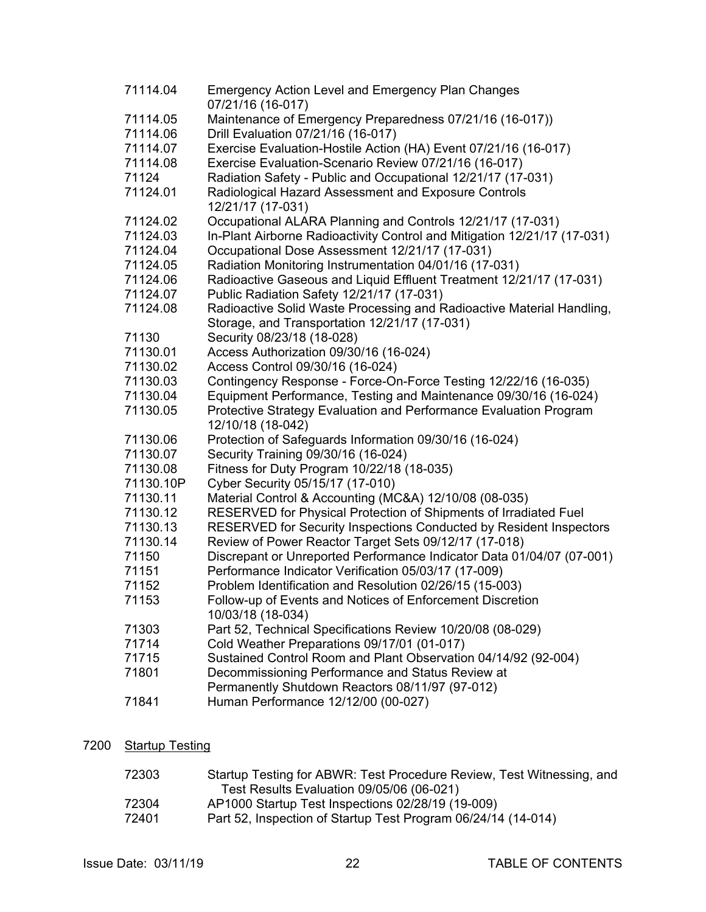| 71114.04  | <b>Emergency Action Level and Emergency Plan Changes</b><br>07/21/16 (16-017)                                          |
|-----------|------------------------------------------------------------------------------------------------------------------------|
| 71114.05  | Maintenance of Emergency Preparedness 07/21/16 (16-017))                                                               |
| 71114.06  | Drill Evaluation 07/21/16 (16-017)                                                                                     |
| 71114.07  | Exercise Evaluation-Hostile Action (HA) Event 07/21/16 (16-017)                                                        |
| 71114.08  | Exercise Evaluation-Scenario Review 07/21/16 (16-017)                                                                  |
| 71124     | Radiation Safety - Public and Occupational 12/21/17 (17-031)                                                           |
| 71124.01  | Radiological Hazard Assessment and Exposure Controls<br>12/21/17 (17-031)                                              |
| 71124.02  | Occupational ALARA Planning and Controls 12/21/17 (17-031)                                                             |
| 71124.03  | In-Plant Airborne Radioactivity Control and Mitigation 12/21/17 (17-031)                                               |
| 71124.04  | Occupational Dose Assessment 12/21/17 (17-031)                                                                         |
| 71124.05  | Radiation Monitoring Instrumentation 04/01/16 (17-031)                                                                 |
| 71124.06  | Radioactive Gaseous and Liquid Effluent Treatment 12/21/17 (17-031)                                                    |
| 71124.07  | Public Radiation Safety 12/21/17 (17-031)                                                                              |
| 71124.08  | Radioactive Solid Waste Processing and Radioactive Material Handling,<br>Storage, and Transportation 12/21/17 (17-031) |
| 71130     | Security 08/23/18 (18-028)                                                                                             |
| 71130.01  | Access Authorization 09/30/16 (16-024)                                                                                 |
| 71130.02  | Access Control 09/30/16 (16-024)                                                                                       |
| 71130.03  | Contingency Response - Force-On-Force Testing 12/22/16 (16-035)                                                        |
| 71130.04  | Equipment Performance, Testing and Maintenance 09/30/16 (16-024)                                                       |
| 71130.05  | Protective Strategy Evaluation and Performance Evaluation Program<br>12/10/18 (18-042)                                 |
| 71130.06  | Protection of Safeguards Information 09/30/16 (16-024)                                                                 |
| 71130.07  | Security Training 09/30/16 (16-024)                                                                                    |
| 71130.08  | Fitness for Duty Program 10/22/18 (18-035)                                                                             |
| 71130.10P | Cyber Security 05/15/17 (17-010)                                                                                       |
| 71130.11  | Material Control & Accounting (MC&A) 12/10/08 (08-035)                                                                 |
| 71130.12  | RESERVED for Physical Protection of Shipments of Irradiated Fuel                                                       |
| 71130.13  | RESERVED for Security Inspections Conducted by Resident Inspectors                                                     |
| 71130.14  | Review of Power Reactor Target Sets 09/12/17 (17-018)                                                                  |
| 71150     | Discrepant or Unreported Performance Indicator Data 01/04/07 (07-001)                                                  |
| 71151     | Performance Indicator Verification 05/03/17 (17-009)                                                                   |
| 71152     | Problem Identification and Resolution 02/26/15 (15-003)                                                                |
| 71153     | Follow-up of Events and Notices of Enforcement Discretion<br>10/03/18 (18-034)                                         |
| 71303     | Part 52, Technical Specifications Review 10/20/08 (08-029)                                                             |
| 71714     | Cold Weather Preparations 09/17/01 (01-017)                                                                            |
| 71715     | Sustained Control Room and Plant Observation 04/14/92 (92-004)                                                         |
| 71801     | Decommissioning Performance and Status Review at                                                                       |
|           | Permanently Shutdown Reactors 08/11/97 (97-012)                                                                        |
| 71841     | Human Performance 12/12/00 (00-027)                                                                                    |

## 7200 Startup Testing

| 72303 | Startup Testing for ABWR: Test Procedure Review, Test Witnessing, and |
|-------|-----------------------------------------------------------------------|
|       | Test Results Evaluation 09/05/06 (06-021)                             |
| 72304 | AP1000 Startup Test Inspections 02/28/19 (19-009)                     |
| 72401 | Part 52, Inspection of Startup Test Program 06/24/14 (14-014)         |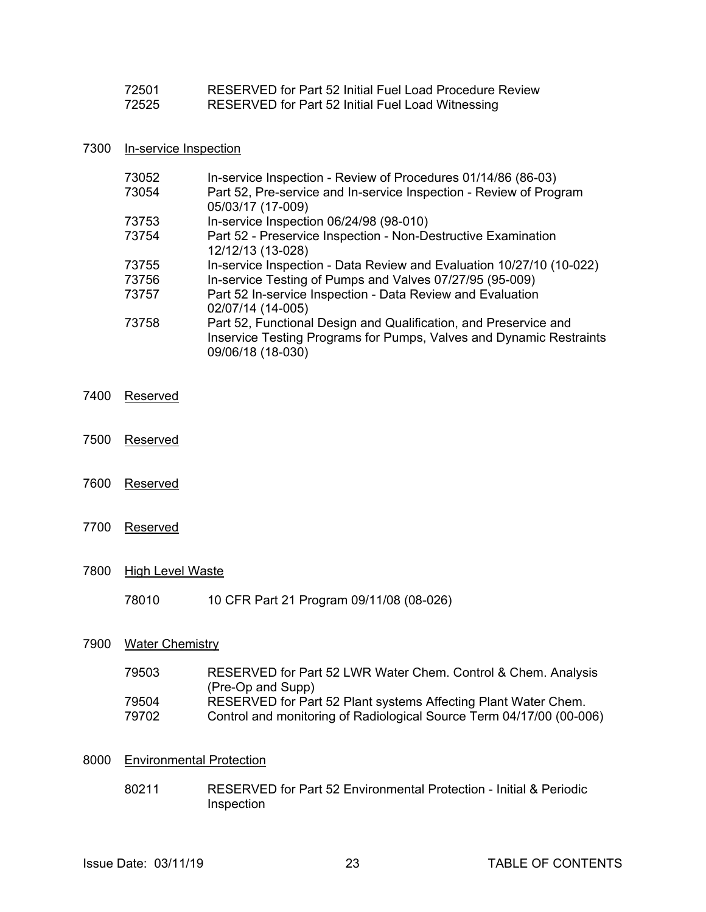| 72501 | RESERVED for Part 52 Initial Fuel Load Procedure Review |
|-------|---------------------------------------------------------|
| 72525 | RESERVED for Part 52 Initial Fuel Load Witnessing       |

#### 7300 In-service Inspection

| 73052 | In-service Inspection - Review of Procedures 01/14/86 (86-03)        |
|-------|----------------------------------------------------------------------|
| 73054 | Part 52, Pre-service and In-service Inspection - Review of Program   |
|       | 05/03/17 (17-009)                                                    |
| 73753 | In-service Inspection 06/24/98 (98-010)                              |
| 73754 | Part 52 - Preservice Inspection - Non-Destructive Examination        |
|       | 12/12/13 (13-028)                                                    |
| 73755 | In-service Inspection - Data Review and Evaluation 10/27/10 (10-022) |
| 73756 | In-service Testing of Pumps and Valves 07/27/95 (95-009)             |
| 73757 | Part 52 In-service Inspection - Data Review and Evaluation           |
|       | 02/07/14 (14-005)                                                    |
| 73758 | Part 52, Functional Design and Qualification, and Preservice and     |
|       | Inservice Testing Programs for Pumps, Valves and Dynamic Restraints  |
|       | 09/06/18 (18-030)                                                    |

- 7400 Reserved
- 7500 Reserved
- 7600 Reserved
- 7700 Reserved
- 7800 High Level Waste
	- 78010 10 CFR Part 21 Program 09/11/08 (08-026)

#### 7900 Water Chemistry

| 79503 | RESERVED for Part 52 LWR Water Chem. Control & Chem. Analysis        |
|-------|----------------------------------------------------------------------|
|       | (Pre-Op and Supp)                                                    |
| 79504 | RESERVED for Part 52 Plant systems Affecting Plant Water Chem.       |
| 79702 | Control and monitoring of Radiological Source Term 04/17/00 (00-006) |

#### 8000 Environmental Protection

 80211 RESERVED for Part 52 Environmental Protection - Initial & Periodic Inspection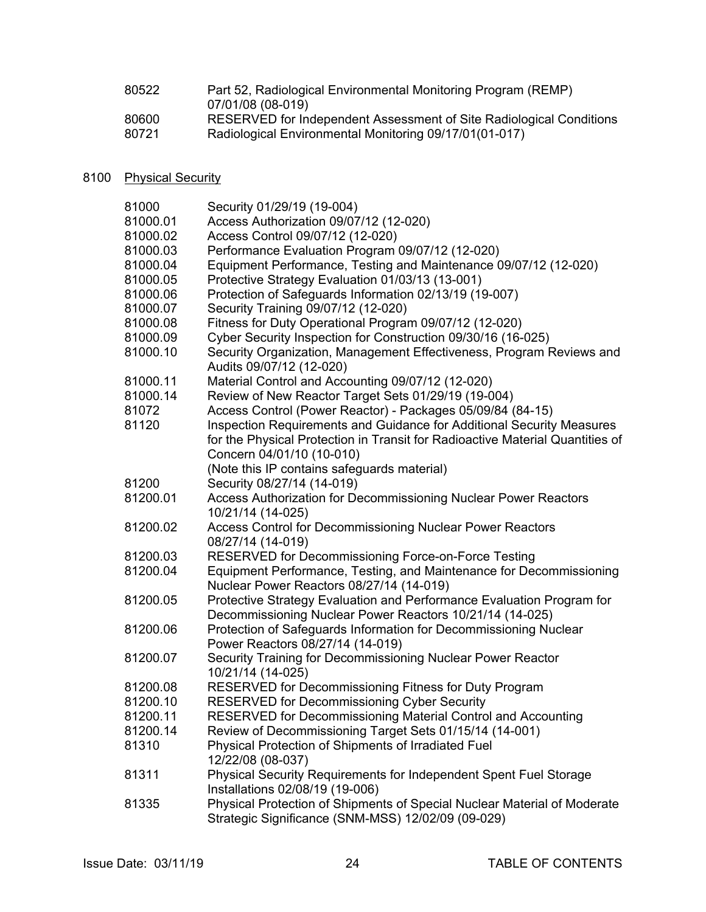| 80522 | Part 52, Radiological Environmental Monitoring Program (REMP)       |
|-------|---------------------------------------------------------------------|
|       | 07/01/08 (08-019)                                                   |
| 80600 | RESERVED for Independent Assessment of Site Radiological Conditions |
| 80721 | Radiological Environmental Monitoring 09/17/01(01-017)              |
|       |                                                                     |

## 8100 Physical Security

| 81000    | Security 01/29/19 (19-004)                                                    |
|----------|-------------------------------------------------------------------------------|
| 81000.01 | Access Authorization 09/07/12 (12-020)                                        |
| 81000.02 | Access Control 09/07/12 (12-020)                                              |
| 81000.03 | Performance Evaluation Program 09/07/12 (12-020)                              |
| 81000.04 | Equipment Performance, Testing and Maintenance 09/07/12 (12-020)              |
| 81000.05 | Protective Strategy Evaluation 01/03/13 (13-001)                              |
| 81000.06 | Protection of Safeguards Information 02/13/19 (19-007)                        |
| 81000.07 | Security Training 09/07/12 (12-020)                                           |
| 81000.08 | Fitness for Duty Operational Program 09/07/12 (12-020)                        |
| 81000.09 | Cyber Security Inspection for Construction 09/30/16 (16-025)                  |
| 81000.10 | Security Organization, Management Effectiveness, Program Reviews and          |
|          | Audits 09/07/12 (12-020)                                                      |
| 81000.11 | Material Control and Accounting 09/07/12 (12-020)                             |
| 81000.14 | Review of New Reactor Target Sets 01/29/19 (19-004)                           |
| 81072    | Access Control (Power Reactor) - Packages 05/09/84 (84-15)                    |
| 81120    | Inspection Requirements and Guidance for Additional Security Measures         |
|          | for the Physical Protection in Transit for Radioactive Material Quantities of |
|          | Concern 04/01/10 (10-010)                                                     |
|          | (Note this IP contains safeguards material)                                   |
| 81200    | Security 08/27/14 (14-019)                                                    |
| 81200.01 | Access Authorization for Decommissioning Nuclear Power Reactors               |
|          | 10/21/14 (14-025)                                                             |
| 81200.02 | Access Control for Decommissioning Nuclear Power Reactors                     |
|          | 08/27/14 (14-019)                                                             |
| 81200.03 | RESERVED for Decommissioning Force-on-Force Testing                           |
| 81200.04 | Equipment Performance, Testing, and Maintenance for Decommissioning           |
|          | Nuclear Power Reactors 08/27/14 (14-019)                                      |
| 81200.05 | Protective Strategy Evaluation and Performance Evaluation Program for         |
|          | Decommissioning Nuclear Power Reactors 10/21/14 (14-025)                      |
| 81200.06 | Protection of Safeguards Information for Decommissioning Nuclear              |
|          | Power Reactors 08/27/14 (14-019)                                              |
| 81200.07 | Security Training for Decommissioning Nuclear Power Reactor                   |
|          | 10/21/14 (14-025)                                                             |
| 81200.08 | RESERVED for Decommissioning Fitness for Duty Program                         |
| 81200.10 | <b>RESERVED for Decommissioning Cyber Security</b>                            |
| 81200.11 | RESERVED for Decommissioning Material Control and Accounting                  |
| 81200.14 | Review of Decommissioning Target Sets 01/15/14 (14-001)                       |
| 81310    | Physical Protection of Shipments of Irradiated Fuel                           |
|          | 12/22/08 (08-037)                                                             |
| 81311    | Physical Security Requirements for Independent Spent Fuel Storage             |
|          | Installations 02/08/19 (19-006)                                               |
| 81335    | Physical Protection of Shipments of Special Nuclear Material of Moderate      |
|          | Strategic Significance (SNM-MSS) 12/02/09 (09-029)                            |
|          |                                                                               |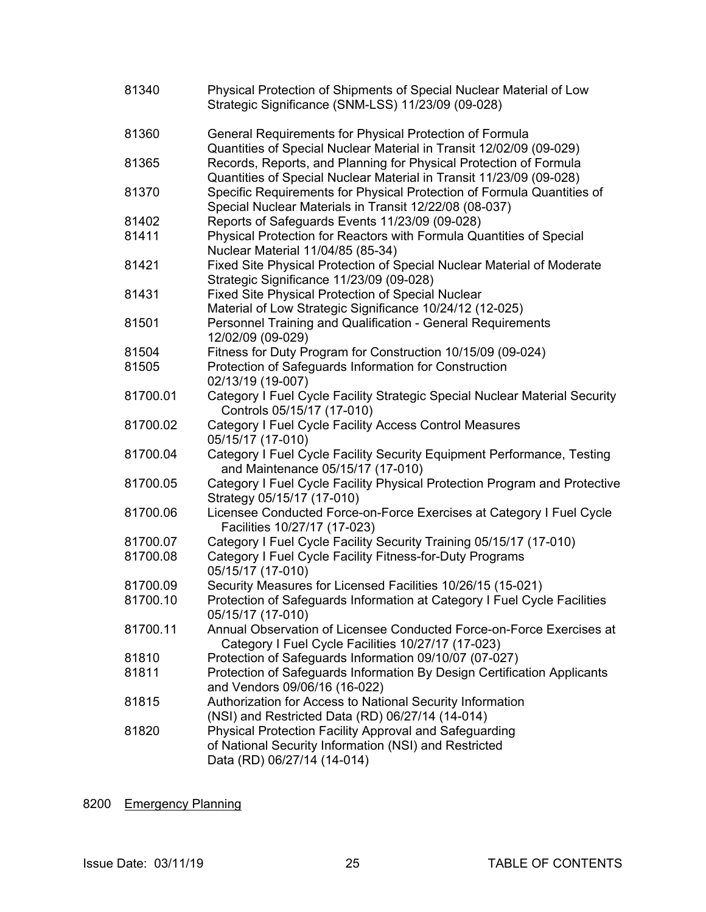| 81340    | Physical Protection of Shipments of Special Nuclear Material of Low<br>Strategic Significance (SNM-LSS) 11/23/09 (09-028)                      |
|----------|------------------------------------------------------------------------------------------------------------------------------------------------|
| 81360    | General Requirements for Physical Protection of Formula<br>Quantities of Special Nuclear Material in Transit 12/02/09 (09-029)                 |
| 81365    | Records, Reports, and Planning for Physical Protection of Formula<br>Quantities of Special Nuclear Material in Transit 11/23/09 (09-028)       |
| 81370    | Specific Requirements for Physical Protection of Formula Quantities of<br>Special Nuclear Materials in Transit 12/22/08 (08-037)               |
| 81402    | Reports of Safeguards Events 11/23/09 (09-028)                                                                                                 |
| 81411    | Physical Protection for Reactors with Formula Quantities of Special<br>Nuclear Material 11/04/85 (85-34)                                       |
| 81421    | Fixed Site Physical Protection of Special Nuclear Material of Moderate<br>Strategic Significance 11/23/09 (09-028)                             |
| 81431    | <b>Fixed Site Physical Protection of Special Nuclear</b>                                                                                       |
|          | Material of Low Strategic Significance 10/24/12 (12-025)                                                                                       |
| 81501    | Personnel Training and Qualification - General Requirements<br>12/02/09 (09-029)                                                               |
| 81504    | Fitness for Duty Program for Construction 10/15/09 (09-024)                                                                                    |
| 81505    | Protection of Safeguards Information for Construction<br>02/13/19 (19-007)                                                                     |
| 81700.01 | Category I Fuel Cycle Facility Strategic Special Nuclear Material Security<br>Controls 05/15/17 (17-010)                                       |
| 81700.02 | Category I Fuel Cycle Facility Access Control Measures<br>05/15/17 (17-010)                                                                    |
| 81700.04 | Category I Fuel Cycle Facility Security Equipment Performance, Testing<br>and Maintenance 05/15/17 (17-010)                                    |
| 81700.05 | Category I Fuel Cycle Facility Physical Protection Program and Protective<br>Strategy 05/15/17 (17-010)                                        |
| 81700.06 | Licensee Conducted Force-on-Force Exercises at Category I Fuel Cycle<br>Facilities 10/27/17 (17-023)                                           |
| 81700.07 | Category I Fuel Cycle Facility Security Training 05/15/17 (17-010)                                                                             |
| 81700.08 | Category I Fuel Cycle Facility Fitness-for-Duty Programs<br>05/15/17 (17-010)                                                                  |
| 81700.09 | Security Measures for Licensed Facilities 10/26/15 (15-021)                                                                                    |
| 81700.10 | Protection of Safeguards Information at Category I Fuel Cycle Facilities<br>05/15/17 (17-010)                                                  |
| 81700.11 | Annual Observation of Licensee Conducted Force-on-Force Exercises at<br>Category I Fuel Cycle Facilities 10/27/17 (17-023)                     |
| 81810    | Protection of Safeguards Information 09/10/07 (07-027)                                                                                         |
| 81811    | Protection of Safeguards Information By Design Certification Applicants<br>and Vendors 09/06/16 (16-022)                                       |
| 81815    | Authorization for Access to National Security Information<br>(NSI) and Restricted Data (RD) 06/27/14 (14-014)                                  |
| 81820    | Physical Protection Facility Approval and Safeguarding<br>of National Security Information (NSI) and Restricted<br>Data (RD) 06/27/14 (14-014) |

## 8200 Emergency Planning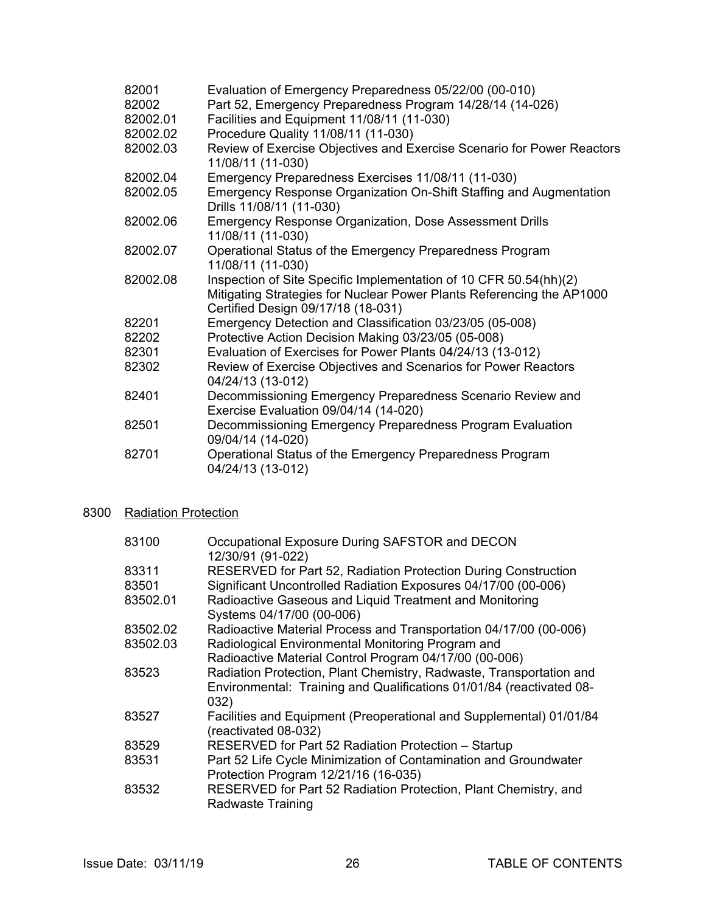| 82001    | Evaluation of Emergency Preparedness 05/22/00 (00-010)                                                                                                                           |
|----------|----------------------------------------------------------------------------------------------------------------------------------------------------------------------------------|
| 82002    | Part 52, Emergency Preparedness Program 14/28/14 (14-026)                                                                                                                        |
| 82002.01 | Facilities and Equipment 11/08/11 (11-030)                                                                                                                                       |
| 82002.02 | Procedure Quality 11/08/11 (11-030)                                                                                                                                              |
| 82002.03 | Review of Exercise Objectives and Exercise Scenario for Power Reactors<br>11/08/11 (11-030)                                                                                      |
| 82002.04 | Emergency Preparedness Exercises 11/08/11 (11-030)                                                                                                                               |
| 82002.05 | Emergency Response Organization On-Shift Staffing and Augmentation<br>Drills 11/08/11 (11-030)                                                                                   |
| 82002.06 | <b>Emergency Response Organization, Dose Assessment Drills</b><br>11/08/11 (11-030)                                                                                              |
| 82002.07 | Operational Status of the Emergency Preparedness Program<br>11/08/11 (11-030)                                                                                                    |
| 82002.08 | Inspection of Site Specific Implementation of 10 CFR 50.54(hh)(2)<br>Mitigating Strategies for Nuclear Power Plants Referencing the AP1000<br>Certified Design 09/17/18 (18-031) |
| 82201    | Emergency Detection and Classification 03/23/05 (05-008)                                                                                                                         |
| 82202    | Protective Action Decision Making 03/23/05 (05-008)                                                                                                                              |
| 82301    | Evaluation of Exercises for Power Plants 04/24/13 (13-012)                                                                                                                       |
| 82302    | Review of Exercise Objectives and Scenarios for Power Reactors<br>04/24/13 (13-012)                                                                                              |
| 82401    | Decommissioning Emergency Preparedness Scenario Review and<br>Exercise Evaluation 09/04/14 (14-020)                                                                              |
| 82501    | Decommissioning Emergency Preparedness Program Evaluation<br>09/04/14 (14-020)                                                                                                   |
| 82701    | Operational Status of the Emergency Preparedness Program<br>04/24/13 (13-012)                                                                                                    |

## 8300 Radiation Protection

| 83100    | Occupational Exposure During SAFSTOR and DECON<br>12/30/91 (91-022)                                                                                 |
|----------|-----------------------------------------------------------------------------------------------------------------------------------------------------|
| 83311    | RESERVED for Part 52, Radiation Protection During Construction                                                                                      |
| 83501    | Significant Uncontrolled Radiation Exposures 04/17/00 (00-006)                                                                                      |
| 83502.01 | Radioactive Gaseous and Liquid Treatment and Monitoring<br>Systems 04/17/00 (00-006)                                                                |
| 83502.02 | Radioactive Material Process and Transportation 04/17/00 (00-006)                                                                                   |
| 83502.03 | Radiological Environmental Monitoring Program and                                                                                                   |
|          | Radioactive Material Control Program 04/17/00 (00-006)                                                                                              |
| 83523    | Radiation Protection, Plant Chemistry, Radwaste, Transportation and<br>Environmental: Training and Qualifications 01/01/84 (reactivated 08-<br>032) |
| 83527    | Facilities and Equipment (Preoperational and Supplemental) 01/01/84<br>(reactivated 08-032)                                                         |
| 83529    | RESERVED for Part 52 Radiation Protection - Startup                                                                                                 |
| 83531    | Part 52 Life Cycle Minimization of Contamination and Groundwater<br>Protection Program 12/21/16 (16-035)                                            |
| 83532    | RESERVED for Part 52 Radiation Protection, Plant Chemistry, and<br>Radwaste Training                                                                |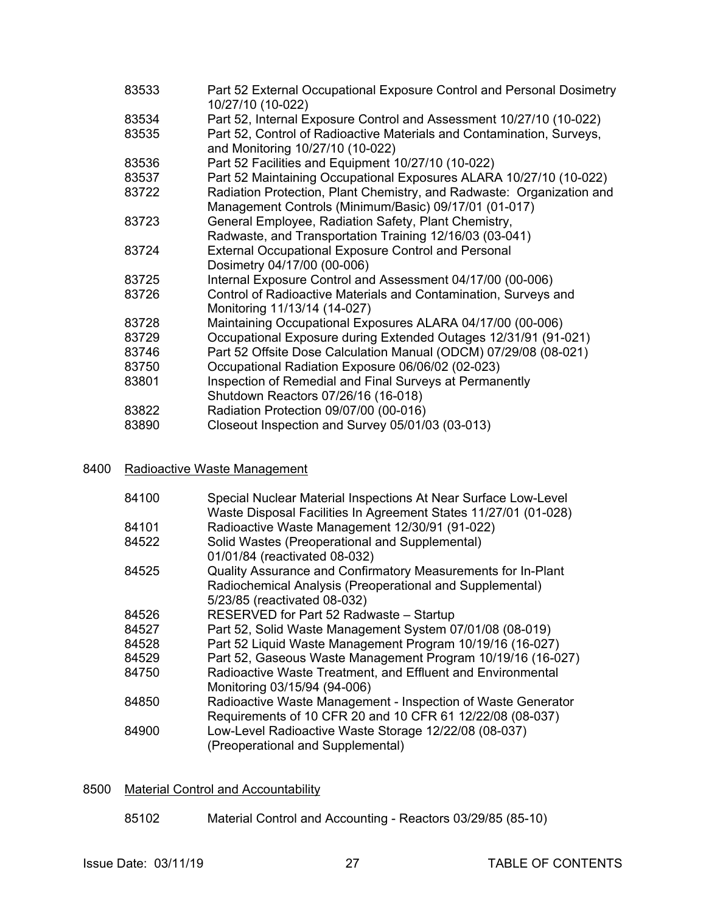| 83533 | Part 52 External Occupational Exposure Control and Personal Dosimetry<br>10/27/10 (10-022)                |
|-------|-----------------------------------------------------------------------------------------------------------|
| 83534 | Part 52, Internal Exposure Control and Assessment 10/27/10 (10-022)                                       |
| 83535 | Part 52, Control of Radioactive Materials and Contamination, Surveys,<br>and Monitoring 10/27/10 (10-022) |
| 83536 | Part 52 Facilities and Equipment 10/27/10 (10-022)                                                        |
| 83537 | Part 52 Maintaining Occupational Exposures ALARA 10/27/10 (10-022)                                        |
| 83722 | Radiation Protection, Plant Chemistry, and Radwaste: Organization and                                     |
|       | Management Controls (Minimum/Basic) 09/17/01 (01-017)                                                     |
| 83723 | General Employee, Radiation Safety, Plant Chemistry,                                                      |
|       | Radwaste, and Transportation Training 12/16/03 (03-041)                                                   |
| 83724 | <b>External Occupational Exposure Control and Personal</b>                                                |
|       | Dosimetry 04/17/00 (00-006)                                                                               |
| 83725 | Internal Exposure Control and Assessment 04/17/00 (00-006)                                                |
| 83726 | Control of Radioactive Materials and Contamination, Surveys and<br>Monitoring 11/13/14 (14-027)           |
| 83728 | Maintaining Occupational Exposures ALARA 04/17/00 (00-006)                                                |
| 83729 | Occupational Exposure during Extended Outages 12/31/91 (91-021)                                           |
| 83746 | Part 52 Offsite Dose Calculation Manual (ODCM) 07/29/08 (08-021)                                          |
| 83750 | Occupational Radiation Exposure 06/06/02 (02-023)                                                         |
| 83801 | Inspection of Remedial and Final Surveys at Permanently                                                   |
|       | Shutdown Reactors 07/26/16 (16-018)                                                                       |
| 83822 | Radiation Protection 09/07/00 (00-016)                                                                    |
| 83890 | Closeout Inspection and Survey 05/01/03 (03-013)                                                          |
|       |                                                                                                           |

## 8400 Radioactive Waste Management

| 84100 | Special Nuclear Material Inspections At Near Surface Low-Level<br>Waste Disposal Facilities In Agreement States 11/27/01 (01-028) |
|-------|-----------------------------------------------------------------------------------------------------------------------------------|
| 84101 | Radioactive Waste Management 12/30/91 (91-022)                                                                                    |
| 84522 | Solid Wastes (Preoperational and Supplemental)                                                                                    |
|       | 01/01/84 (reactivated 08-032)                                                                                                     |
| 84525 | Quality Assurance and Confirmatory Measurements for In-Plant                                                                      |
|       | Radiochemical Analysis (Preoperational and Supplemental)                                                                          |
|       | 5/23/85 (reactivated 08-032)                                                                                                      |
| 84526 | RESERVED for Part 52 Radwaste - Startup                                                                                           |
| 84527 | Part 52, Solid Waste Management System 07/01/08 (08-019)                                                                          |
| 84528 | Part 52 Liquid Waste Management Program 10/19/16 (16-027)                                                                         |
| 84529 | Part 52, Gaseous Waste Management Program 10/19/16 (16-027)                                                                       |
| 84750 | Radioactive Waste Treatment, and Effluent and Environmental                                                                       |
|       | Monitoring 03/15/94 (94-006)                                                                                                      |
| 84850 | Radioactive Waste Management - Inspection of Waste Generator                                                                      |
|       | Requirements of 10 CFR 20 and 10 CFR 61 12/22/08 (08-037)                                                                         |
| 84900 | Low-Level Radioactive Waste Storage 12/22/08 (08-037)                                                                             |
|       | (Preoperational and Supplemental)                                                                                                 |
|       |                                                                                                                                   |

## 8500 Material Control and Accountability

85102 Material Control and Accounting - Reactors 03/29/85 (85-10)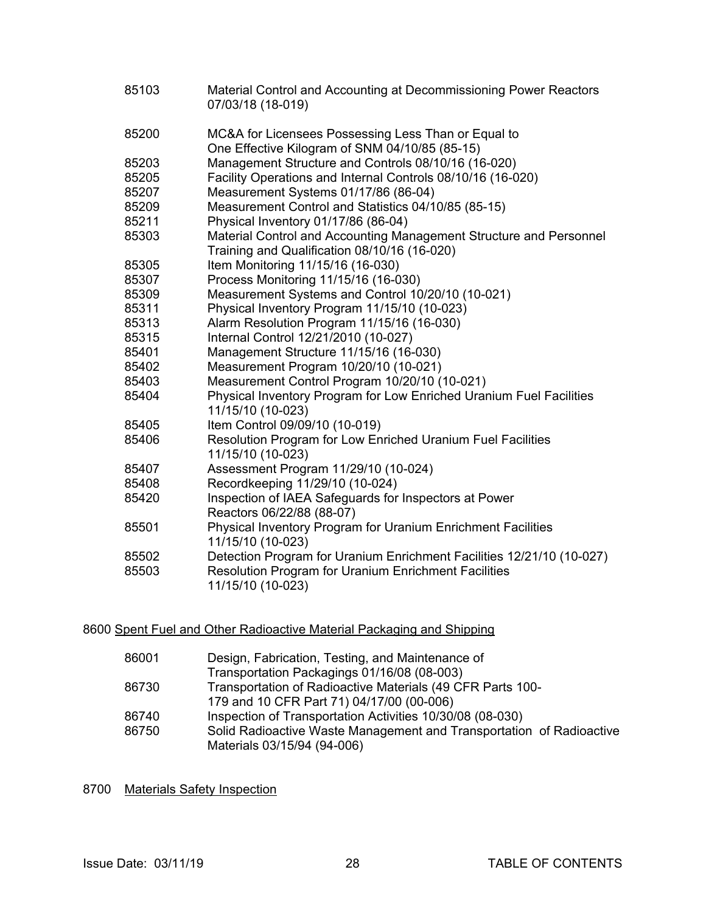| 85103          | Material Control and Accounting at Decommissioning Power Reactors<br>07/03/18 (18-019)                                                                    |
|----------------|-----------------------------------------------------------------------------------------------------------------------------------------------------------|
| 85200          | MC&A for Licensees Possessing Less Than or Equal to<br>One Effective Kilogram of SNM 04/10/85 (85-15)                                                     |
| 85203          | Management Structure and Controls 08/10/16 (16-020)                                                                                                       |
| 85205          | Facility Operations and Internal Controls 08/10/16 (16-020)                                                                                               |
| 85207          | Measurement Systems 01/17/86 (86-04)                                                                                                                      |
| 85209          | Measurement Control and Statistics 04/10/85 (85-15)                                                                                                       |
| 85211          | Physical Inventory 01/17/86 (86-04)                                                                                                                       |
| 85303          | Material Control and Accounting Management Structure and Personnel<br>Training and Qualification 08/10/16 (16-020)                                        |
| 85305          | Item Monitoring 11/15/16 (16-030)                                                                                                                         |
| 85307          | Process Monitoring 11/15/16 (16-030)                                                                                                                      |
| 85309          | Measurement Systems and Control 10/20/10 (10-021)                                                                                                         |
| 85311          | Physical Inventory Program 11/15/10 (10-023)                                                                                                              |
| 85313          | Alarm Resolution Program 11/15/16 (16-030)                                                                                                                |
| 85315          | Internal Control 12/21/2010 (10-027)                                                                                                                      |
| 85401          | Management Structure 11/15/16 (16-030)                                                                                                                    |
| 85402          | Measurement Program 10/20/10 (10-021)                                                                                                                     |
| 85403          | Measurement Control Program 10/20/10 (10-021)                                                                                                             |
| 85404          | Physical Inventory Program for Low Enriched Uranium Fuel Facilities<br>11/15/10 (10-023)                                                                  |
| 85405          | Item Control 09/09/10 (10-019)                                                                                                                            |
| 85406          | Resolution Program for Low Enriched Uranium Fuel Facilities<br>11/15/10 (10-023)                                                                          |
| 85407          | Assessment Program 11/29/10 (10-024)                                                                                                                      |
| 85408          | Recordkeeping 11/29/10 (10-024)                                                                                                                           |
| 85420          | Inspection of IAEA Safeguards for Inspectors at Power<br>Reactors 06/22/88 (88-07)                                                                        |
| 85501          | Physical Inventory Program for Uranium Enrichment Facilities<br>11/15/10 (10-023)                                                                         |
| 85502<br>85503 | Detection Program for Uranium Enrichment Facilities 12/21/10 (10-027)<br><b>Resolution Program for Uranium Enrichment Facilities</b><br>11/15/10 (10-023) |

## 8600 Spent Fuel and Other Radioactive Material Packaging and Shipping

| 86001 | Design, Fabrication, Testing, and Maintenance of                     |
|-------|----------------------------------------------------------------------|
|       | Transportation Packagings 01/16/08 (08-003)                          |
| 86730 | Transportation of Radioactive Materials (49 CFR Parts 100-           |
|       | 179 and 10 CFR Part 71) 04/17/00 (00-006)                            |
| 86740 | Inspection of Transportation Activities 10/30/08 (08-030)            |
| 86750 | Solid Radioactive Waste Management and Transportation of Radioactive |
|       | Materials 03/15/94 (94-006)                                          |

8700 Materials Safety Inspection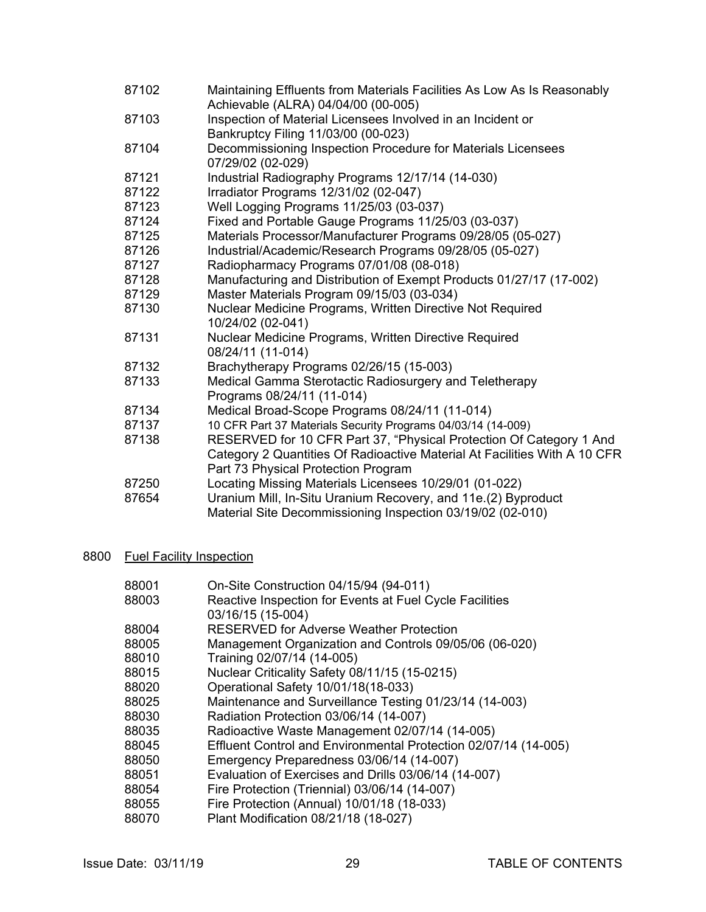- 87102 Maintaining Effluents from Materials Facilities As Low As Is Reasonably Achievable (ALRA) 04/04/00 (00-005)
- 87103 Inspection of Material Licensees Involved in an Incident or Bankruptcy Filing 11/03/00 (00-023)
- 87104 Decommissioning Inspection Procedure for Materials Licensees 07/29/02 (02-029)
- 87121 Industrial Radiography Programs 12/17/14 (14-030)
- 87122 Irradiator Programs 12/31/02 (02-047)
- 87123 Well Logging Programs 11/25/03 (03-037)
- 87124 Fixed and Portable Gauge Programs 11/25/03 (03-037)
- 87125 Materials Processor/Manufacturer Programs 09/28/05 (05-027)
- 87126 Industrial/Academic/Research Programs 09/28/05 (05-027)
- 87127 Radiopharmacy Programs 07/01/08 (08-018)
- 87128 Manufacturing and Distribution of Exempt Products 01/27/17 (17-002)
- 87129 Master Materials Program 09/15/03 (03-034)
- 87130 Nuclear Medicine Programs, Written Directive Not Required 10/24/02 (02-041)
- 87131 Nuclear Medicine Programs, Written Directive Required 08/24/11 (11-014)
- 87132 Brachytherapy Programs 02/26/15 (15-003)
- 87133 Medical Gamma Sterotactic Radiosurgery and Teletherapy Programs 08/24/11 (11-014)
- 87134 Medical Broad-Scope Programs 08/24/11 (11-014)
- 87137 10 CFR Part 37 Materials Security Programs 04/03/14 (14-009)<br>87138 RESERVED for 10 CFR Part 37. "Physical Protection Of C
- RESERVED for 10 CFR Part 37, "Physical Protection Of Category 1 And Category 2 Quantities Of Radioactive Material At Facilities With A 10 CFR Part 73 Physical Protection Program
- 87250 Locating Missing Materials Licensees 10/29/01 (01-022)
- 87654 Uranium Mill, In-Situ Uranium Recovery, and 11e.(2) Byproduct Material Site Decommissioning Inspection 03/19/02 (02-010)

#### 8800 Fuel Facility Inspection

| 88001 | On-Site Construction 04/15/94 (94-011)                          |
|-------|-----------------------------------------------------------------|
| 88003 | Reactive Inspection for Events at Fuel Cycle Facilities         |
|       | 03/16/15 (15-004)                                               |
| 88004 | <b>RESERVED for Adverse Weather Protection</b>                  |
| 88005 | Management Organization and Controls 09/05/06 (06-020)          |
| 88010 | Training 02/07/14 (14-005)                                      |
| 88015 | Nuclear Criticality Safety 08/11/15 (15-0215)                   |
| 88020 | Operational Safety 10/01/18(18-033)                             |
| 88025 | Maintenance and Surveillance Testing 01/23/14 (14-003)          |
| 88030 | Radiation Protection 03/06/14 (14-007)                          |
| 88035 | Radioactive Waste Management 02/07/14 (14-005)                  |
| 88045 | Effluent Control and Environmental Protection 02/07/14 (14-005) |
| 88050 | Emergency Preparedness 03/06/14 (14-007)                        |
| 88051 | Evaluation of Exercises and Drills 03/06/14 (14-007)            |
| 88054 | Fire Protection (Triennial) 03/06/14 (14-007)                   |
| 88055 | Fire Protection (Annual) 10/01/18 (18-033)                      |
| 88070 | Plant Modification 08/21/18 (18-027)                            |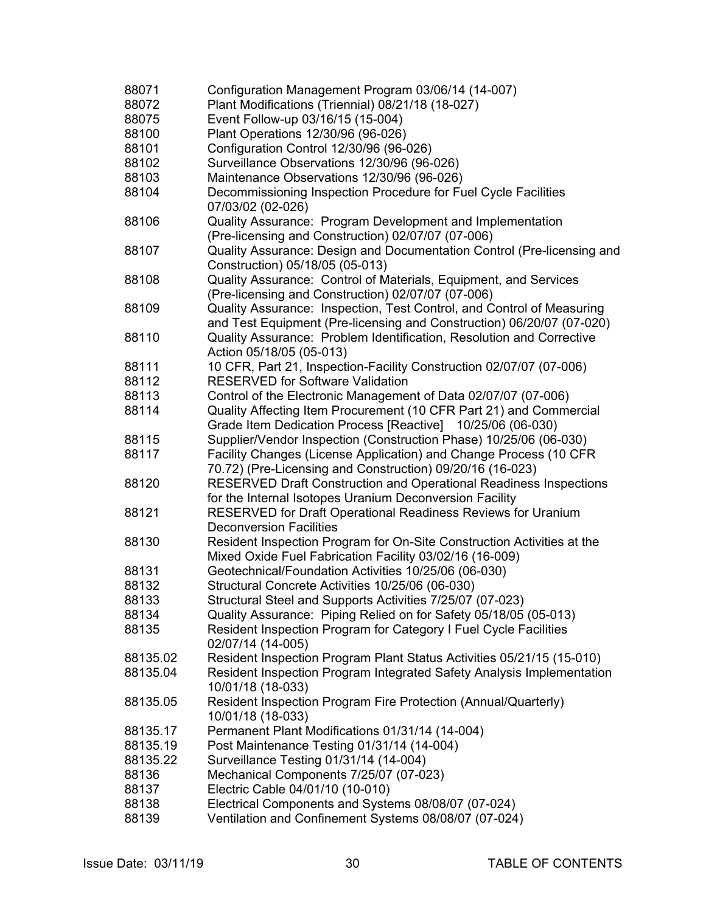| 88071    | Configuration Management Program 03/06/14 (14-007)                       |
|----------|--------------------------------------------------------------------------|
| 88072    | Plant Modifications (Triennial) 08/21/18 (18-027)                        |
| 88075    | Event Follow-up 03/16/15 (15-004)                                        |
| 88100    | Plant Operations 12/30/96 (96-026)                                       |
| 88101    | Configuration Control 12/30/96 (96-026)                                  |
| 88102    | Surveillance Observations 12/30/96 (96-026)                              |
| 88103    | Maintenance Observations 12/30/96 (96-026)                               |
| 88104    | Decommissioning Inspection Procedure for Fuel Cycle Facilities           |
|          | 07/03/02 (02-026)                                                        |
| 88106    | Quality Assurance: Program Development and Implementation                |
|          | (Pre-licensing and Construction) 02/07/07 (07-006)                       |
| 88107    | Quality Assurance: Design and Documentation Control (Pre-licensing and   |
|          | Construction) 05/18/05 (05-013)                                          |
| 88108    | Quality Assurance: Control of Materials, Equipment, and Services         |
|          | (Pre-licensing and Construction) 02/07/07 (07-006)                       |
| 88109    | Quality Assurance: Inspection, Test Control, and Control of Measuring    |
|          | and Test Equipment (Pre-licensing and Construction) 06/20/07 (07-020)    |
| 88110    | Quality Assurance: Problem Identification, Resolution and Corrective     |
|          | Action 05/18/05 (05-013)                                                 |
| 88111    | 10 CFR, Part 21, Inspection-Facility Construction 02/07/07 (07-006)      |
| 88112    | <b>RESERVED for Software Validation</b>                                  |
| 88113    | Control of the Electronic Management of Data 02/07/07 (07-006)           |
| 88114    | Quality Affecting Item Procurement (10 CFR Part 21) and Commercial       |
|          | Grade Item Dedication Process [Reactive] 10/25/06 (06-030)               |
| 88115    | Supplier/Vendor Inspection (Construction Phase) 10/25/06 (06-030)        |
| 88117    | Facility Changes (License Application) and Change Process (10 CFR        |
|          | 70.72) (Pre-Licensing and Construction) 09/20/16 (16-023)                |
| 88120    | <b>RESERVED Draft Construction and Operational Readiness Inspections</b> |
|          | for the Internal Isotopes Uranium Deconversion Facility                  |
| 88121    | RESERVED for Draft Operational Readiness Reviews for Uranium             |
|          | <b>Deconversion Facilities</b>                                           |
| 88130    | Resident Inspection Program for On-Site Construction Activities at the   |
|          | Mixed Oxide Fuel Fabrication Facility 03/02/16 (16-009)                  |
| 88131    | Geotechnical/Foundation Activities 10/25/06 (06-030)                     |
| 88132    | Structural Concrete Activities 10/25/06 (06-030)                         |
| 88133    | Structural Steel and Supports Activities 7/25/07 (07-023)                |
| 88134    | Quality Assurance: Piping Relied on for Safety 05/18/05 (05-013)         |
| 88135    | Resident Inspection Program for Category I Fuel Cycle Facilities         |
|          | 02/07/14 (14-005)                                                        |
| 88135.02 | Resident Inspection Program Plant Status Activities 05/21/15 (15-010)    |
| 88135.04 | Resident Inspection Program Integrated Safety Analysis Implementation    |
|          | 10/01/18 (18-033)                                                        |
| 88135.05 | Resident Inspection Program Fire Protection (Annual/Quarterly)           |
|          | 10/01/18 (18-033)                                                        |
| 88135.17 | Permanent Plant Modifications 01/31/14 (14-004)                          |
| 88135.19 | Post Maintenance Testing 01/31/14 (14-004)                               |
| 88135.22 | Surveillance Testing 01/31/14 (14-004)                                   |
| 88136    | Mechanical Components 7/25/07 (07-023)                                   |
| 88137    | Electric Cable 04/01/10 (10-010)                                         |
| 88138    | Electrical Components and Systems 08/08/07 (07-024)                      |
| 88139    | Ventilation and Confinement Systems 08/08/07 (07-024)                    |
|          |                                                                          |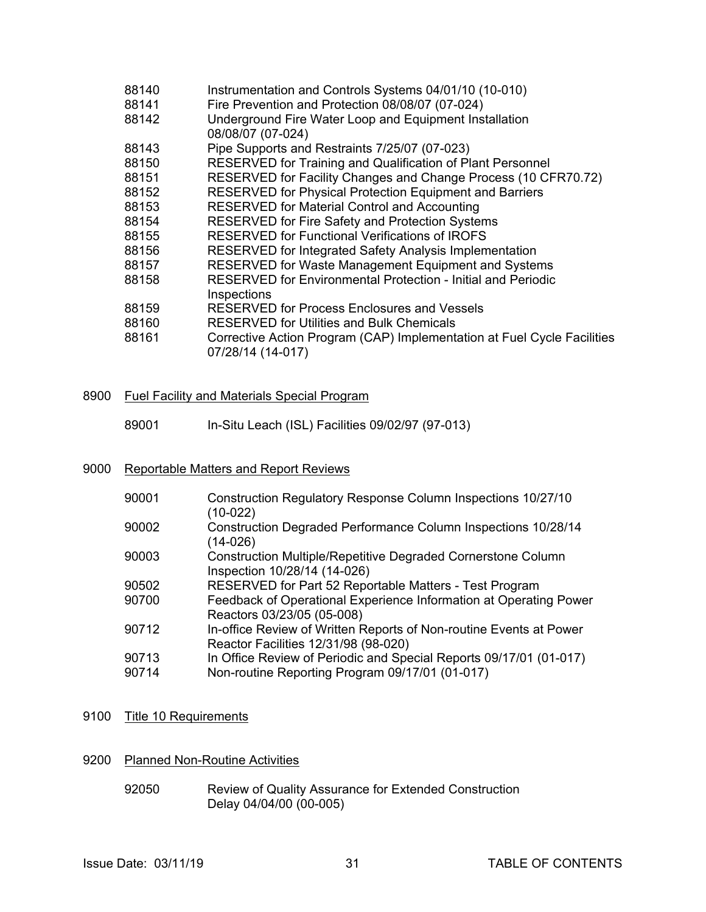| 88140 | Instrumentation and Controls Systems 04/01/10 (10-010)                                       |
|-------|----------------------------------------------------------------------------------------------|
| 88141 | Fire Prevention and Protection 08/08/07 (07-024)                                             |
| 88142 | Underground Fire Water Loop and Equipment Installation<br>08/08/07 (07-024)                  |
| 88143 | Pipe Supports and Restraints 7/25/07 (07-023)                                                |
| 88150 | RESERVED for Training and Qualification of Plant Personnel                                   |
| 88151 | RESERVED for Facility Changes and Change Process (10 CFR70.72)                               |
| 88152 | RESERVED for Physical Protection Equipment and Barriers                                      |
| 88153 | <b>RESERVED for Material Control and Accounting</b>                                          |
| 88154 | RESERVED for Fire Safety and Protection Systems                                              |
| 88155 | <b>RESERVED for Functional Verifications of IROFS</b>                                        |
| 88156 | RESERVED for Integrated Safety Analysis Implementation                                       |
| 88157 | RESERVED for Waste Management Equipment and Systems                                          |
| 88158 | <b>RESERVED for Environmental Protection - Initial and Periodic</b><br>Inspections           |
| 88159 | <b>RESERVED for Process Enclosures and Vessels</b>                                           |
| 88160 | <b>RESERVED for Utilities and Bulk Chemicals</b>                                             |
| 88161 | Corrective Action Program (CAP) Implementation at Fuel Cycle Facilities<br>07/28/14 (14-017) |

#### 8900 Fuel Facility and Materials Special Program

89001 In-Situ Leach (ISL) Facilities 09/02/97 (97-013)

#### 9000 Reportable Matters and Report Reviews

| 90001 | Construction Regulatory Response Column Inspections 10/27/10<br>$(10-022)$                                 |
|-------|------------------------------------------------------------------------------------------------------------|
| 90002 | <b>Construction Degraded Performance Column Inspections 10/28/14</b><br>(14-026)                           |
| 90003 | Construction Multiple/Repetitive Degraded Cornerstone Column<br>Inspection 10/28/14 (14-026)               |
| 90502 | RESERVED for Part 52 Reportable Matters - Test Program                                                     |
| 90700 | Feedback of Operational Experience Information at Operating Power<br>Reactors 03/23/05 (05-008)            |
| 90712 | In-office Review of Written Reports of Non-routine Events at Power<br>Reactor Facilities 12/31/98 (98-020) |
| 90713 | In Office Review of Periodic and Special Reports 09/17/01 (01-017)                                         |
| 90714 | Non-routine Reporting Program 09/17/01 (01-017)                                                            |
|       |                                                                                                            |

## 9100 Title 10 Requirements

- 9200 Planned Non-Routine Activities
	- 92050 Review of Quality Assurance for Extended Construction Delay 04/04/00 (00-005)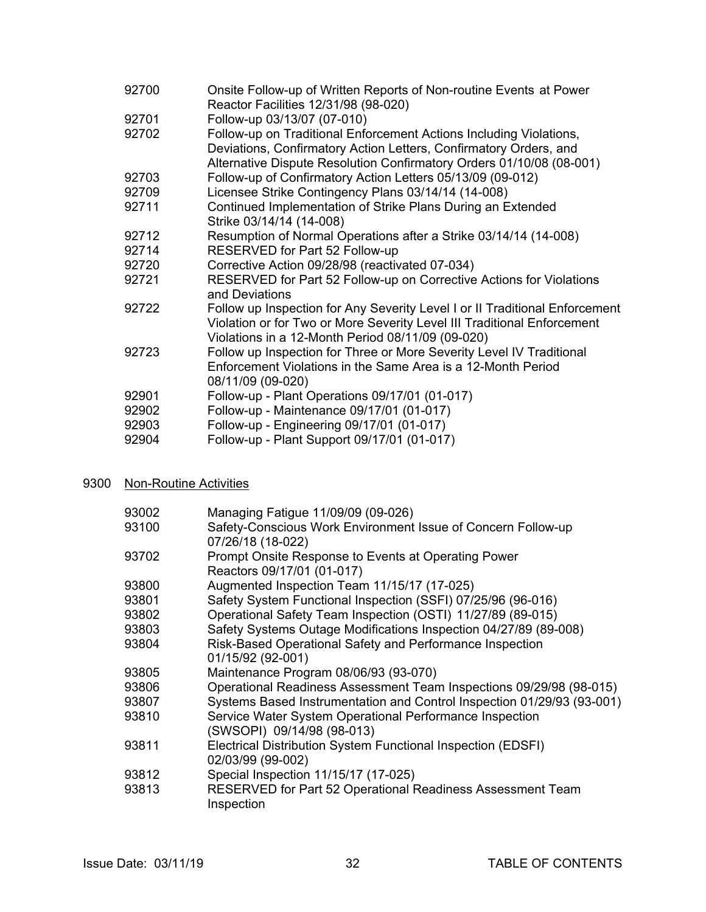| 92700 | Onsite Follow-up of Written Reports of Non-routine Events at Power<br>Reactor Facilities 12/31/98 (98-020)                                                                                                      |
|-------|-----------------------------------------------------------------------------------------------------------------------------------------------------------------------------------------------------------------|
| 92701 | Follow-up 03/13/07 (07-010)                                                                                                                                                                                     |
| 92702 | Follow-up on Traditional Enforcement Actions Including Violations,<br>Deviations, Confirmatory Action Letters, Confirmatory Orders, and<br>Alternative Dispute Resolution Confirmatory Orders 01/10/08 (08-001) |
| 92703 | Follow-up of Confirmatory Action Letters 05/13/09 (09-012)                                                                                                                                                      |
| 92709 | Licensee Strike Contingency Plans 03/14/14 (14-008)                                                                                                                                                             |
| 92711 | Continued Implementation of Strike Plans During an Extended<br>Strike 03/14/14 (14-008)                                                                                                                         |
| 92712 | Resumption of Normal Operations after a Strike 03/14/14 (14-008)                                                                                                                                                |
| 92714 | RESERVED for Part 52 Follow-up                                                                                                                                                                                  |
| 92720 | Corrective Action 09/28/98 (reactivated 07-034)                                                                                                                                                                 |
| 92721 | RESERVED for Part 52 Follow-up on Corrective Actions for Violations<br>and Deviations                                                                                                                           |
| 92722 | Follow up Inspection for Any Severity Level I or II Traditional Enforcement<br>Violation or for Two or More Severity Level III Traditional Enforcement<br>Violations in a 12-Month Period 08/11/09 (09-020)     |
| 92723 | Follow up Inspection for Three or More Severity Level IV Traditional<br>Enforcement Violations in the Same Area is a 12-Month Period<br>08/11/09 (09-020)                                                       |
| 92901 | Follow-up - Plant Operations 09/17/01 (01-017)                                                                                                                                                                  |
| 92902 | Follow-up - Maintenance 09/17/01 (01-017)                                                                                                                                                                       |
| 92903 | Follow-up - Engineering 09/17/01 (01-017)                                                                                                                                                                       |
| 92904 | Follow-up - Plant Support 09/17/01 (01-017)                                                                                                                                                                     |
|       |                                                                                                                                                                                                                 |

## 9300 Non-Routine Activities

| 93002 | Managing Fatigue 11/09/09 (09-026)                                     |
|-------|------------------------------------------------------------------------|
| 93100 | Safety-Conscious Work Environment Issue of Concern Follow-up           |
|       | 07/26/18 (18-022)                                                      |
| 93702 | Prompt Onsite Response to Events at Operating Power                    |
|       | Reactors 09/17/01 (01-017)                                             |
| 93800 | Augmented Inspection Team 11/15/17 (17-025)                            |
| 93801 | Safety System Functional Inspection (SSFI) 07/25/96 (96-016)           |
| 93802 | Operational Safety Team Inspection (OSTI) 11/27/89 (89-015)            |
| 93803 | Safety Systems Outage Modifications Inspection 04/27/89 (89-008)       |
| 93804 | Risk-Based Operational Safety and Performance Inspection               |
|       | 01/15/92 (92-001)                                                      |
| 93805 | Maintenance Program 08/06/93 (93-070)                                  |
| 93806 | Operational Readiness Assessment Team Inspections 09/29/98 (98-015)    |
| 93807 | Systems Based Instrumentation and Control Inspection 01/29/93 (93-001) |
| 93810 | Service Water System Operational Performance Inspection                |
|       | (SWSOPI) 09/14/98 (98-013)                                             |
| 93811 | Electrical Distribution System Functional Inspection (EDSFI)           |
|       | 02/03/99 (99-002)                                                      |
| 93812 | Special Inspection 11/15/17 (17-025)                                   |
| 93813 | RESERVED for Part 52 Operational Readiness Assessment Team             |
|       | Inspection                                                             |
|       |                                                                        |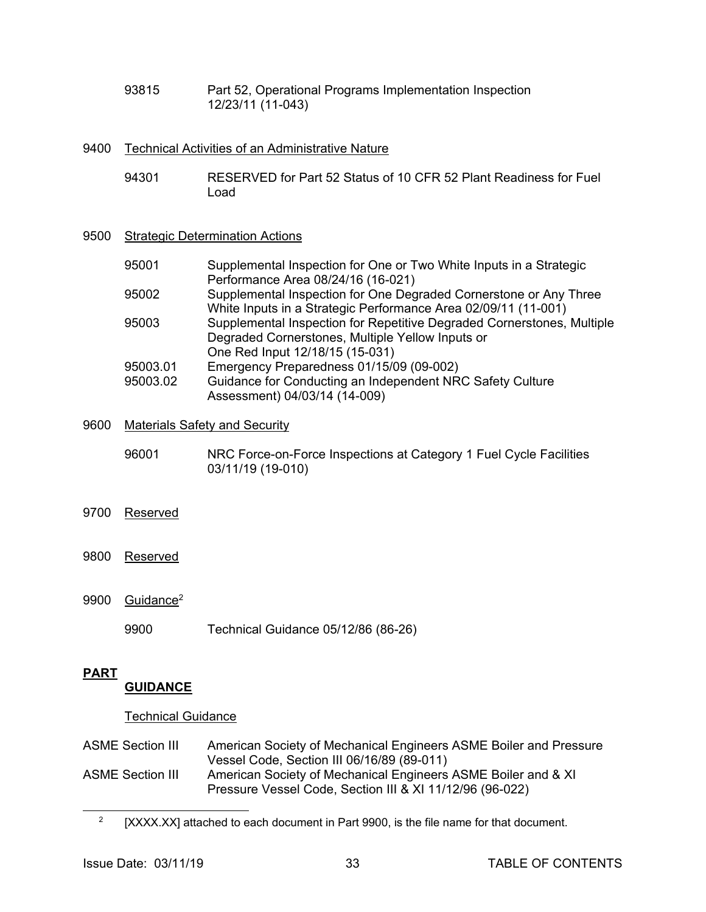93815 Part 52, Operational Programs Implementation Inspection 12/23/11 (11-043)

#### 9400 Technical Activities of an Administrative Nature

- 94301 RESERVED for Part 52 Status of 10 CFR 52 Plant Readiness for Fuel Load
- 9500 Strategic Determination Actions

| 95001    | Supplemental Inspection for One or Two White Inputs in a Strategic     |
|----------|------------------------------------------------------------------------|
|          | Performance Area 08/24/16 (16-021)                                     |
| 95002    | Supplemental Inspection for One Degraded Cornerstone or Any Three      |
|          | White Inputs in a Strategic Performance Area 02/09/11 (11-001)         |
| 95003    | Supplemental Inspection for Repetitive Degraded Cornerstones, Multiple |
|          | Degraded Cornerstones, Multiple Yellow Inputs or                       |
|          | One Red Input 12/18/15 (15-031)                                        |
| 95003.01 | Emergency Preparedness 01/15/09 (09-002)                               |
| 95003.02 | Guidance for Conducting an Independent NRC Safety Culture              |
|          | Assessment) 04/03/14 (14-009)                                          |

- 9600 Materials Safety and Security
	- 96001 NRC Force-on-Force Inspections at Category 1 Fuel Cycle Facilities 03/11/19 (19-010)
- 9700 Reserved
- 9800 Reserved
- 9900 Guidance2
	- 9900 Technical Guidance 05/12/86 (86-26)

## **PART**

l

## **GUIDANCE**

#### Technical Guidance

ASME Section III American Society of Mechanical Engineers ASME Boiler and Pressure Vessel Code, Section III 06/16/89 (89-011) ASME Section III American Society of Mechanical Engineers ASME Boiler and & XI Pressure Vessel Code, Section III & XI 11/12/96 (96-022)

<sup>&</sup>lt;sup>2</sup> [XXXX.XX] attached to each document in Part 9900, is the file name for that document.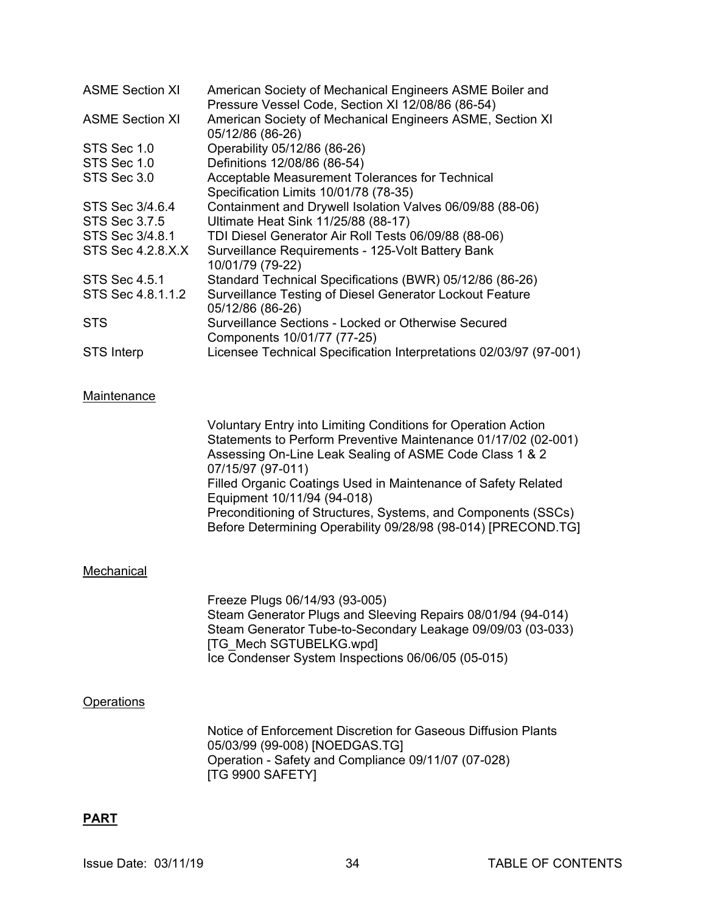| <b>ASME Section XI</b>   | American Society of Mechanical Engineers ASME Boiler and<br>Pressure Vessel Code, Section XI 12/08/86 (86-54) |
|--------------------------|---------------------------------------------------------------------------------------------------------------|
| <b>ASME Section XI</b>   | American Society of Mechanical Engineers ASME, Section XI<br>05/12/86 (86-26)                                 |
| STS Sec 1.0              | Operability 05/12/86 (86-26)                                                                                  |
| STS Sec 1.0              | Definitions 12/08/86 (86-54)                                                                                  |
| STS Sec 3.0              | Acceptable Measurement Tolerances for Technical                                                               |
|                          | Specification Limits 10/01/78 (78-35)                                                                         |
| STS Sec 3/4.6.4          | Containment and Drywell Isolation Valves 06/09/88 (88-06)                                                     |
| STS Sec 3.7.5            | Ultimate Heat Sink 11/25/88 (88-17)                                                                           |
| STS Sec 3/4.8.1          | TDI Diesel Generator Air Roll Tests 06/09/88 (88-06)                                                          |
| <b>STS Sec 4.2.8.X.X</b> | Surveillance Requirements - 125-Volt Battery Bank<br>10/01/79 (79-22)                                         |
| <b>STS Sec 4.5.1</b>     | Standard Technical Specifications (BWR) 05/12/86 (86-26)                                                      |
| STS Sec 4.8.1.1.2        | Surveillance Testing of Diesel Generator Lockout Feature<br>05/12/86 (86-26)                                  |
| <b>STS</b>               | Surveillance Sections - Locked or Otherwise Secured<br>Components 10/01/77 (77-25)                            |
| <b>STS Interp</b>        | Licensee Technical Specification Interpretations 02/03/97 (97-001)                                            |

#### Maintenance

 Voluntary Entry into Limiting Conditions for Operation Action Statements to Perform Preventive Maintenance 01/17/02 (02-001) Assessing On-Line Leak Sealing of ASME Code Class 1 & 2 07/15/97 (97-011) Filled Organic Coatings Used in Maintenance of Safety Related Equipment 10/11/94 (94-018) Preconditioning of Structures, Systems, and Components (SSCs) Before Determining Operability 09/28/98 (98-014) [PRECOND.TG]

#### Mechanical

 Freeze Plugs 06/14/93 (93-005) Steam Generator Plugs and Sleeving Repairs 08/01/94 (94-014) Steam Generator Tube-to-Secondary Leakage 09/09/03 (03-033) [TG\_Mech SGTUBELKG.wpd] Ice Condenser System Inspections 06/06/05 (05-015)

#### **Operations**

 Notice of Enforcement Discretion for Gaseous Diffusion Plants 05/03/99 (99-008) [NOEDGAS.TG] Operation - Safety and Compliance 09/11/07 (07-028) [TG 9900 SAFETY]

#### **PART**